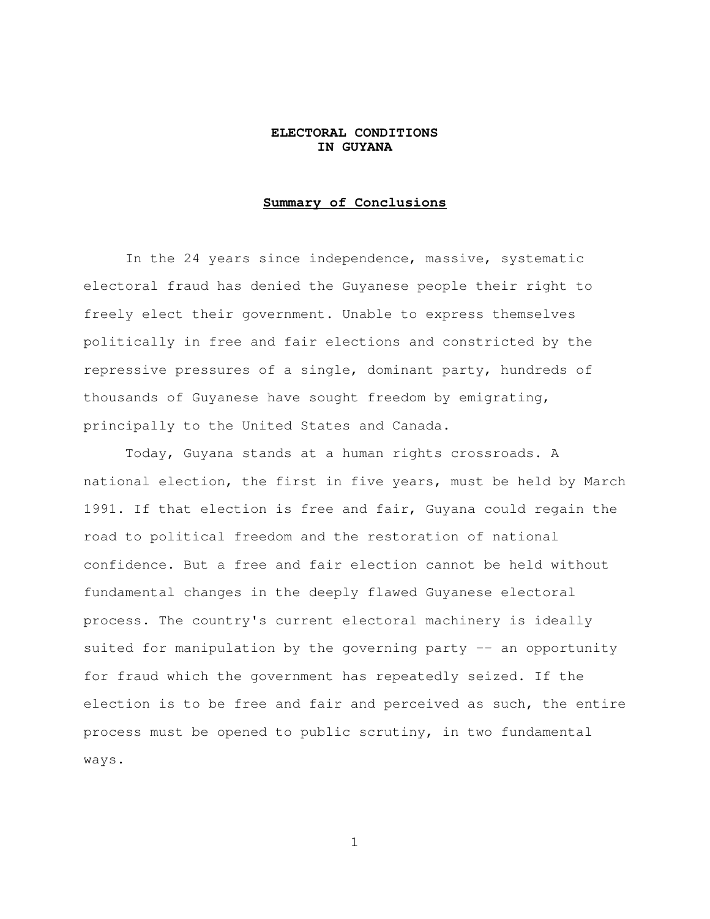## **ELECTORAL CONDITIONS IN GUYANA**

### **Summary of Conclusions**

 In the 24 years since independence, massive, systematic electoral fraud has denied the Guyanese people their right to freely elect their government. Unable to express themselves politically in free and fair elections and constricted by the repressive pressures of a single, dominant party, hundreds of thousands of Guyanese have sought freedom by emigrating, principally to the United States and Canada.

 Today, Guyana stands at a human rights crossroads. A national election, the first in five years, must be held by March 1991. If that election is free and fair, Guyana could regain the road to political freedom and the restoration of national confidence. But a free and fair election cannot be held without fundamental changes in the deeply flawed Guyanese electoral process. The country's current electoral machinery is ideally suited for manipulation by the governing party -- an opportunity for fraud which the government has repeatedly seized. If the election is to be free and fair and perceived as such, the entire process must be opened to public scrutiny, in two fundamental ways.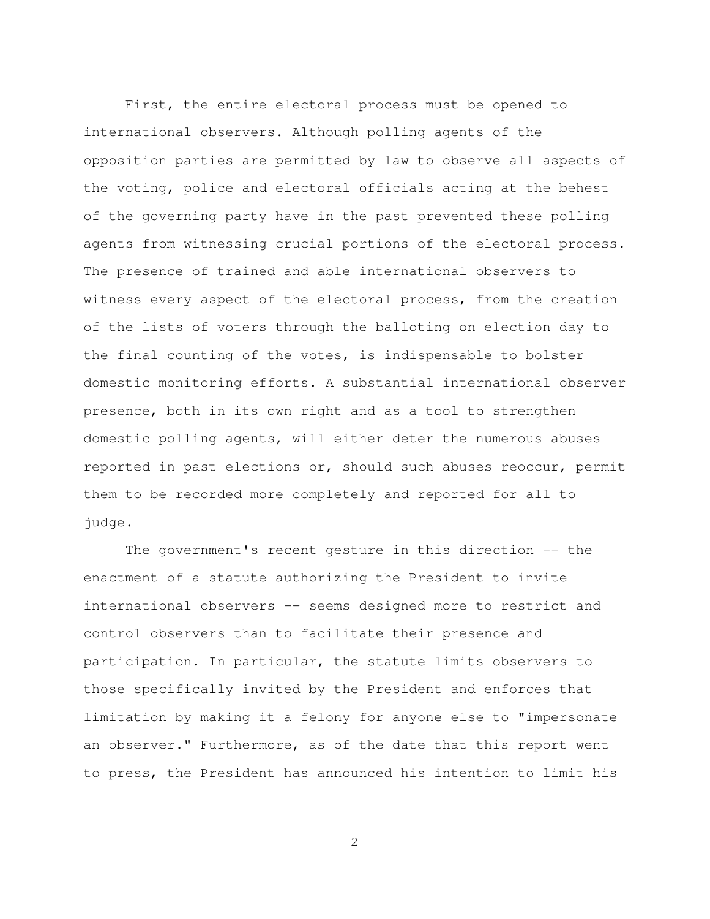First, the entire electoral process must be opened to international observers. Although polling agents of the opposition parties are permitted by law to observe all aspects of the voting, police and electoral officials acting at the behest of the governing party have in the past prevented these polling agents from witnessing crucial portions of the electoral process. The presence of trained and able international observers to witness every aspect of the electoral process, from the creation of the lists of voters through the balloting on election day to the final counting of the votes, is indispensable to bolster domestic monitoring efforts. A substantial international observer presence, both in its own right and as a tool to strengthen domestic polling agents, will either deter the numerous abuses reported in past elections or, should such abuses reoccur, permit them to be recorded more completely and reported for all to judge.

 The government's recent gesture in this direction -- the enactment of a statute authorizing the President to invite international observers -- seems designed more to restrict and control observers than to facilitate their presence and participation. In particular, the statute limits observers to those specifically invited by the President and enforces that limitation by making it a felony for anyone else to "impersonate an observer." Furthermore, as of the date that this report went to press, the President has announced his intention to limit his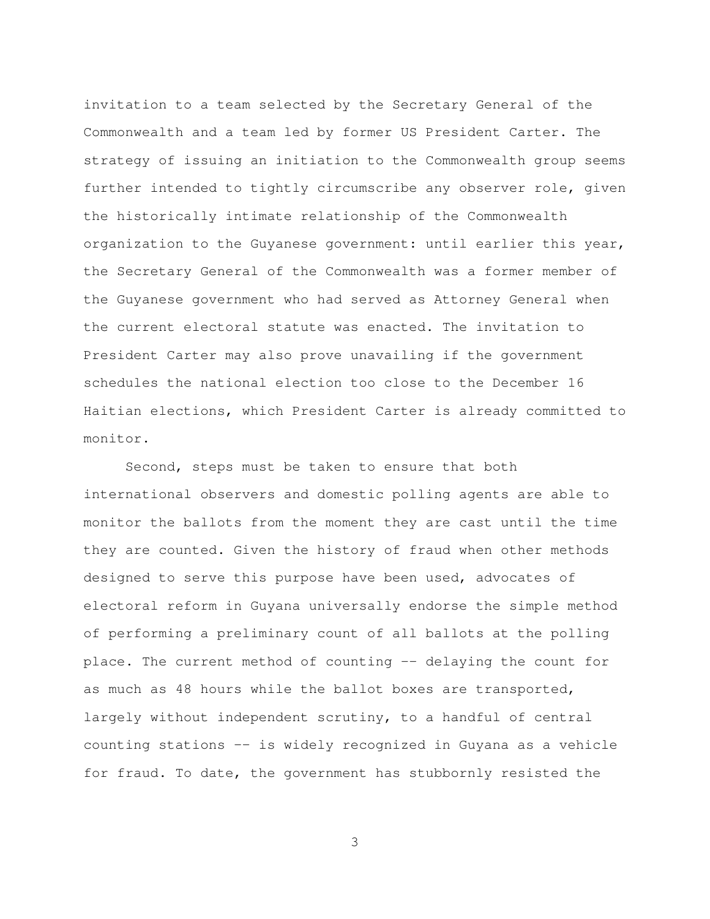invitation to a team selected by the Secretary General of the Commonwealth and a team led by former US President Carter. The strategy of issuing an initiation to the Commonwealth group seems further intended to tightly circumscribe any observer role, given the historically intimate relationship of the Commonwealth organization to the Guyanese government: until earlier this year, the Secretary General of the Commonwealth was a former member of the Guyanese government who had served as Attorney General when the current electoral statute was enacted. The invitation to President Carter may also prove unavailing if the government schedules the national election too close to the December 16 Haitian elections, which President Carter is already committed to monitor.

 Second, steps must be taken to ensure that both international observers and domestic polling agents are able to monitor the ballots from the moment they are cast until the time they are counted. Given the history of fraud when other methods designed to serve this purpose have been used, advocates of electoral reform in Guyana universally endorse the simple method of performing a preliminary count of all ballots at the polling place. The current method of counting -- delaying the count for as much as 48 hours while the ballot boxes are transported, largely without independent scrutiny, to a handful of central counting stations -- is widely recognized in Guyana as a vehicle for fraud. To date, the government has stubbornly resisted the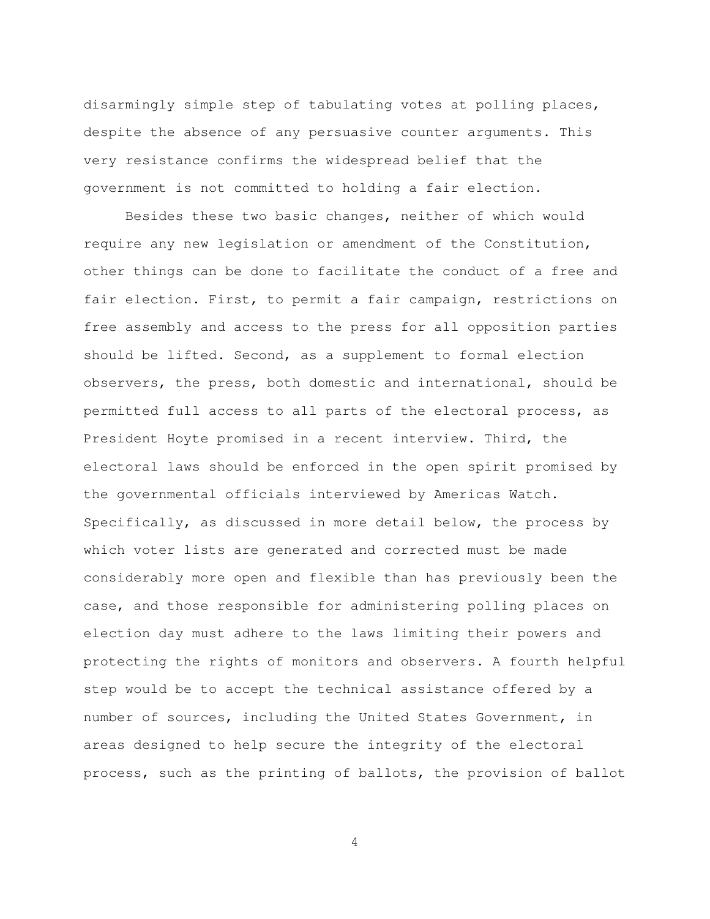disarmingly simple step of tabulating votes at polling places, despite the absence of any persuasive counter arguments. This very resistance confirms the widespread belief that the government is not committed to holding a fair election.

 Besides these two basic changes, neither of which would require any new legislation or amendment of the Constitution, other things can be done to facilitate the conduct of a free and fair election. First, to permit a fair campaign, restrictions on free assembly and access to the press for all opposition parties should be lifted. Second, as a supplement to formal election observers, the press, both domestic and international, should be permitted full access to all parts of the electoral process, as President Hoyte promised in a recent interview. Third, the electoral laws should be enforced in the open spirit promised by the governmental officials interviewed by Americas Watch. Specifically, as discussed in more detail below, the process by which voter lists are generated and corrected must be made considerably more open and flexible than has previously been the case, and those responsible for administering polling places on election day must adhere to the laws limiting their powers and protecting the rights of monitors and observers. A fourth helpful step would be to accept the technical assistance offered by a number of sources, including the United States Government, in areas designed to help secure the integrity of the electoral process, such as the printing of ballots, the provision of ballot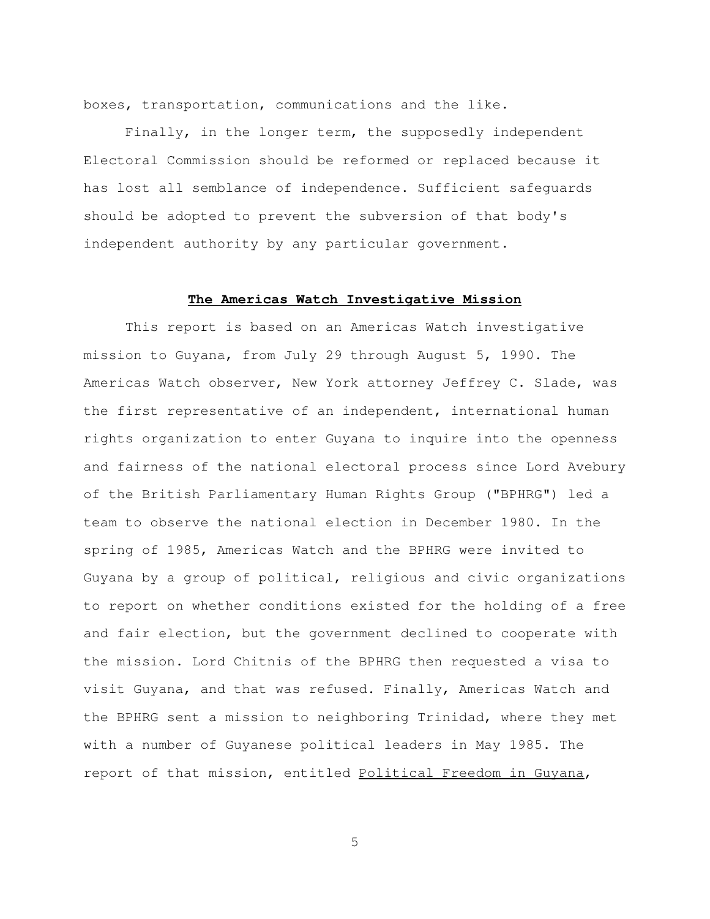boxes, transportation, communications and the like.

 Finally, in the longer term, the supposedly independent Electoral Commission should be reformed or replaced because it has lost all semblance of independence. Sufficient safeguards should be adopted to prevent the subversion of that body's independent authority by any particular government.

## **The Americas Watch Investigative Mission**

 This report is based on an Americas Watch investigative mission to Guyana, from July 29 through August 5, 1990. The Americas Watch observer, New York attorney Jeffrey C. Slade, was the first representative of an independent, international human rights organization to enter Guyana to inquire into the openness and fairness of the national electoral process since Lord Avebury of the British Parliamentary Human Rights Group ("BPHRG") led a team to observe the national election in December 1980. In the spring of 1985, Americas Watch and the BPHRG were invited to Guyana by a group of political, religious and civic organizations to report on whether conditions existed for the holding of a free and fair election, but the government declined to cooperate with the mission. Lord Chitnis of the BPHRG then requested a visa to visit Guyana, and that was refused. Finally, Americas Watch and the BPHRG sent a mission to neighboring Trinidad, where they met with a number of Guyanese political leaders in May 1985. The report of that mission, entitled Political Freedom in Guyana,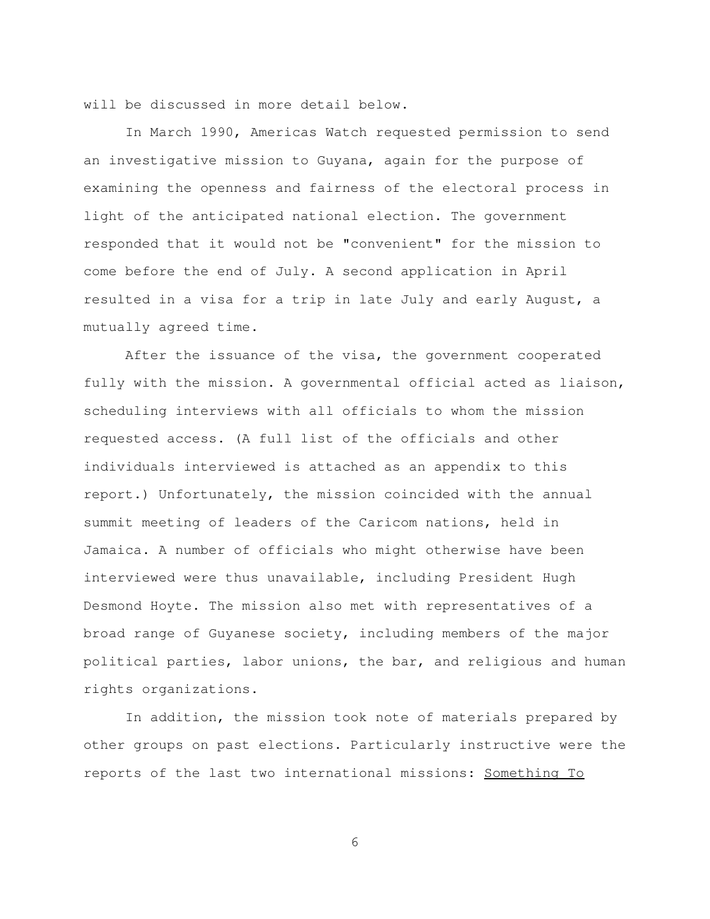will be discussed in more detail below.

 In March 1990, Americas Watch requested permission to send an investigative mission to Guyana, again for the purpose of examining the openness and fairness of the electoral process in light of the anticipated national election. The government responded that it would not be "convenient" for the mission to come before the end of July. A second application in April resulted in a visa for a trip in late July and early August, a mutually agreed time.

 After the issuance of the visa, the government cooperated fully with the mission. A governmental official acted as liaison, scheduling interviews with all officials to whom the mission requested access. (A full list of the officials and other individuals interviewed is attached as an appendix to this report.) Unfortunately, the mission coincided with the annual summit meeting of leaders of the Caricom nations, held in Jamaica. A number of officials who might otherwise have been interviewed were thus unavailable, including President Hugh Desmond Hoyte. The mission also met with representatives of a broad range of Guyanese society, including members of the major political parties, labor unions, the bar, and religious and human rights organizations.

 In addition, the mission took note of materials prepared by other groups on past elections. Particularly instructive were the reports of the last two international missions: Something To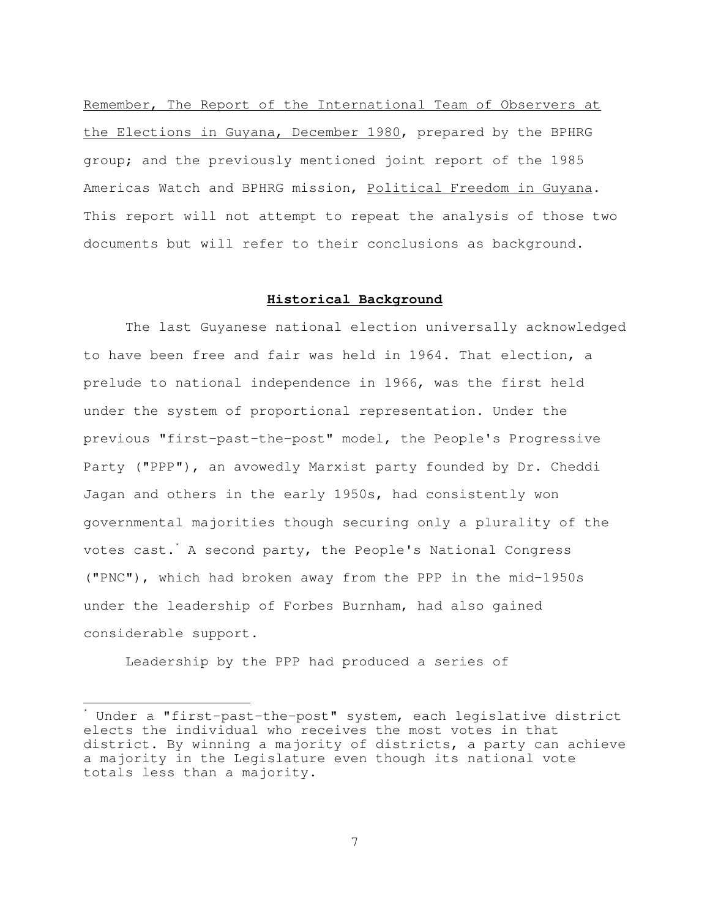Remember, The Report of the International Team of Observers at the Elections in Guyana, December 1980, prepared by the BPHRG group; and the previously mentioned joint report of the 1985 Americas Watch and BPHRG mission, Political Freedom in Guyana. This report will not attempt to repeat the analysis of those two documents but will refer to their conclusions as background.

# **Historical Background**

 The last Guyanese national election universally acknowledged to have been free and fair was held in 1964. That election, a prelude to national independence in 1966, was the first held under the system of proportional representation. Under the previous "first-past-the-post" model, the People's Progressive Party ("PPP"), an avowedly Marxist party founded by Dr. Cheddi Jagan and others in the early 1950s, had consistently won governmental majorities though securing only a plurality of the votes cast. A second party, the People's National Congress ("PNC"), which had broken away from the PPP in the mid-1950s under the leadership of Forbes Burnham, had also gained considerable support.

Leadership by the PPP had produced a series of

È,

<sup>\*</sup> Under a "first-past-the-post" system, each legislative district elects the individual who receives the most votes in that district. By winning a majority of districts, a party can achieve a majority in the Legislature even though its national vote totals less than a majority.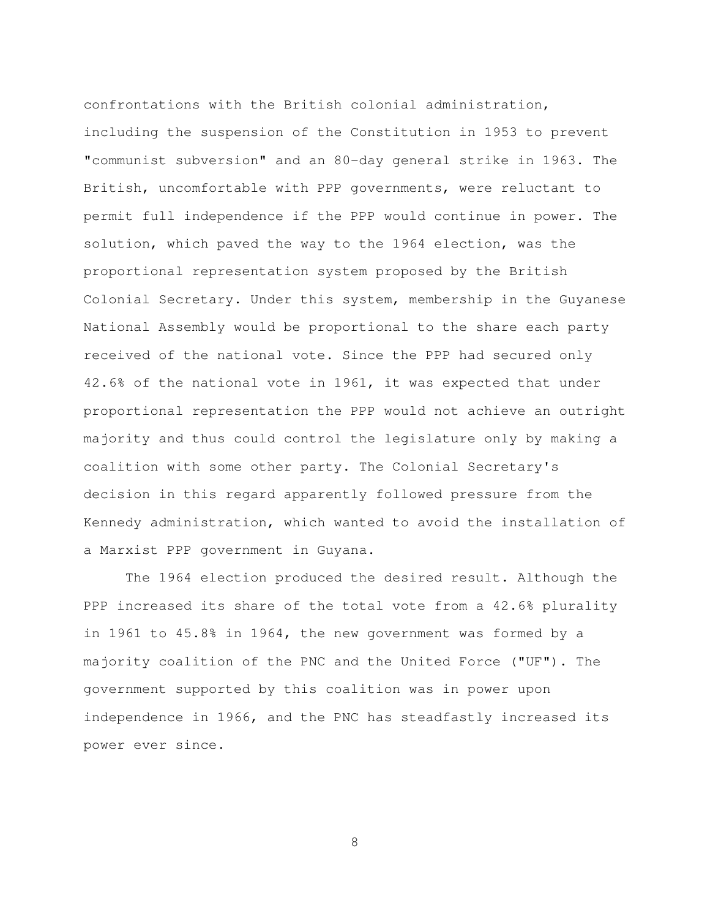confrontations with the British colonial administration, including the suspension of the Constitution in 1953 to prevent "communist subversion" and an 80-day general strike in 1963. The British, uncomfortable with PPP governments, were reluctant to permit full independence if the PPP would continue in power. The solution, which paved the way to the 1964 election, was the proportional representation system proposed by the British Colonial Secretary. Under this system, membership in the Guyanese National Assembly would be proportional to the share each party received of the national vote. Since the PPP had secured only 42.6% of the national vote in 1961, it was expected that under proportional representation the PPP would not achieve an outright majority and thus could control the legislature only by making a coalition with some other party. The Colonial Secretary's decision in this regard apparently followed pressure from the Kennedy administration, which wanted to avoid the installation of a Marxist PPP government in Guyana.

 The 1964 election produced the desired result. Although the PPP increased its share of the total vote from a 42.6% plurality in 1961 to 45.8% in 1964, the new government was formed by a majority coalition of the PNC and the United Force ("UF"). The government supported by this coalition was in power upon independence in 1966, and the PNC has steadfastly increased its power ever since.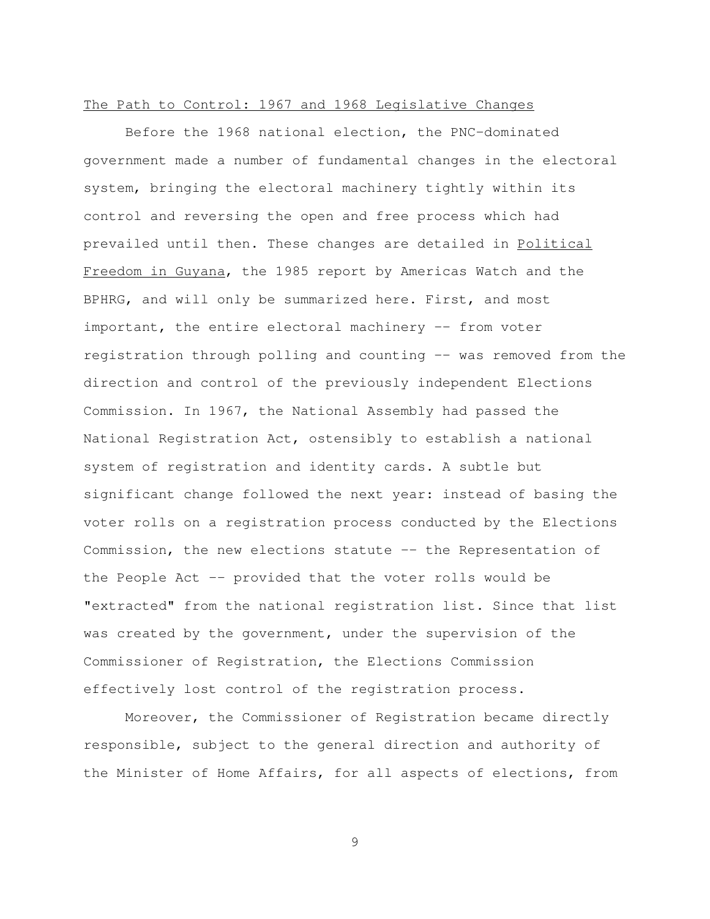### The Path to Control: 1967 and 1968 Legislative Changes

 Before the 1968 national election, the PNC-dominated government made a number of fundamental changes in the electoral system, bringing the electoral machinery tightly within its control and reversing the open and free process which had prevailed until then. These changes are detailed in Political Freedom in Guyana, the 1985 report by Americas Watch and the BPHRG, and will only be summarized here. First, and most important, the entire electoral machinery -- from voter registration through polling and counting -- was removed from the direction and control of the previously independent Elections Commission. In 1967, the National Assembly had passed the National Registration Act, ostensibly to establish a national system of registration and identity cards. A subtle but significant change followed the next year: instead of basing the voter rolls on a registration process conducted by the Elections Commission, the new elections statute -- the Representation of the People Act -- provided that the voter rolls would be "extracted" from the national registration list. Since that list was created by the government, under the supervision of the Commissioner of Registration, the Elections Commission effectively lost control of the registration process.

 Moreover, the Commissioner of Registration became directly responsible, subject to the general direction and authority of the Minister of Home Affairs, for all aspects of elections, from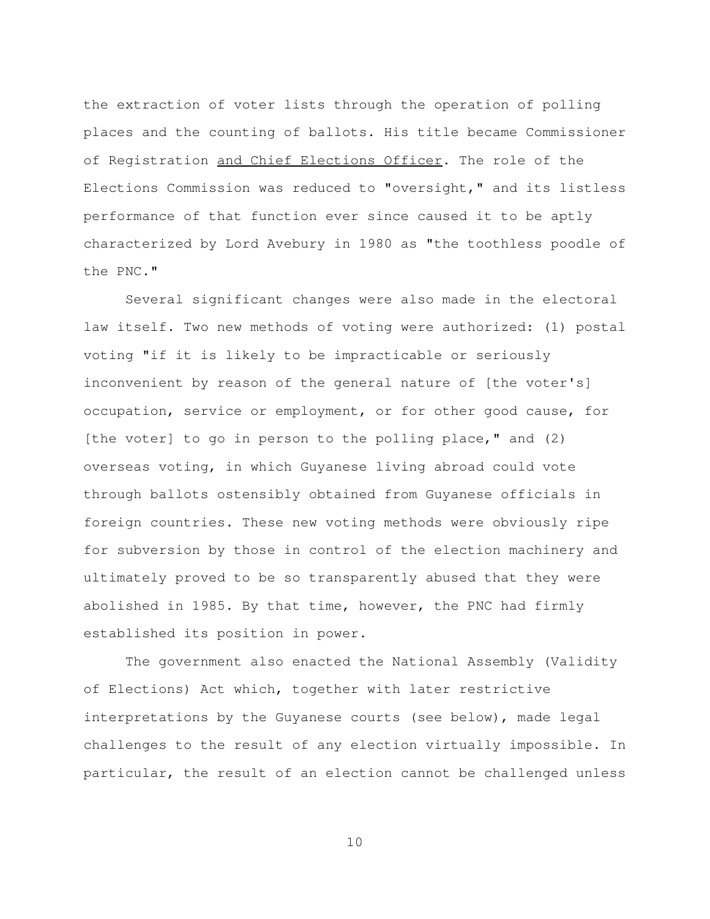the extraction of voter lists through the operation of polling places and the counting of ballots. His title became Commissioner of Registration and Chief Elections Officer. The role of the Elections Commission was reduced to "oversight," and its listless performance of that function ever since caused it to be aptly characterized by Lord Avebury in 1980 as "the toothless poodle of the PNC."

 Several significant changes were also made in the electoral law itself. Two new methods of voting were authorized: (1) postal voting "if it is likely to be impracticable or seriously inconvenient by reason of the general nature of [the voter's] occupation, service or employment, or for other good cause, for [the voter] to go in person to the polling place," and (2) overseas voting, in which Guyanese living abroad could vote through ballots ostensibly obtained from Guyanese officials in foreign countries. These new voting methods were obviously ripe for subversion by those in control of the election machinery and ultimately proved to be so transparently abused that they were abolished in 1985. By that time, however, the PNC had firmly established its position in power.

 The government also enacted the National Assembly (Validity of Elections) Act which, together with later restrictive interpretations by the Guyanese courts (see below), made legal challenges to the result of any election virtually impossible. In particular, the result of an election cannot be challenged unless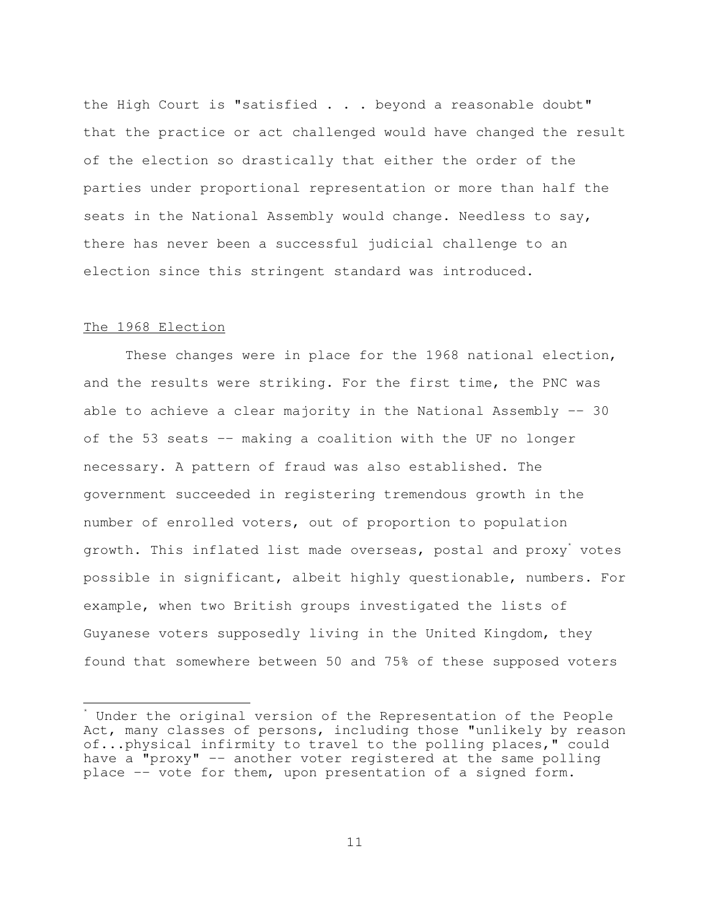the High Court is "satisfied . . . beyond a reasonable doubt" that the practice or act challenged would have changed the result of the election so drastically that either the order of the parties under proportional representation or more than half the seats in the National Assembly would change. Needless to say, there has never been a successful judicial challenge to an election since this stringent standard was introduced.

# The 1968 Election

È,

 These changes were in place for the 1968 national election, and the results were striking. For the first time, the PNC was able to achieve a clear majority in the National Assembly -- 30 of the 53 seats -- making a coalition with the UF no longer necessary. A pattern of fraud was also established. The government succeeded in registering tremendous growth in the number of enrolled voters, out of proportion to population growth. This inflated list made overseas, postal and proxy' votes possible in significant, albeit highly questionable, numbers. For example, when two British groups investigated the lists of Guyanese voters supposedly living in the United Kingdom, they found that somewhere between 50 and 75% of these supposed voters

<sup>\*</sup> Under the original version of the Representation of the People Act, many classes of persons, including those "unlikely by reason of...physical infirmity to travel to the polling places," could have a "proxy" -- another voter registered at the same polling place -- vote for them, upon presentation of a signed form.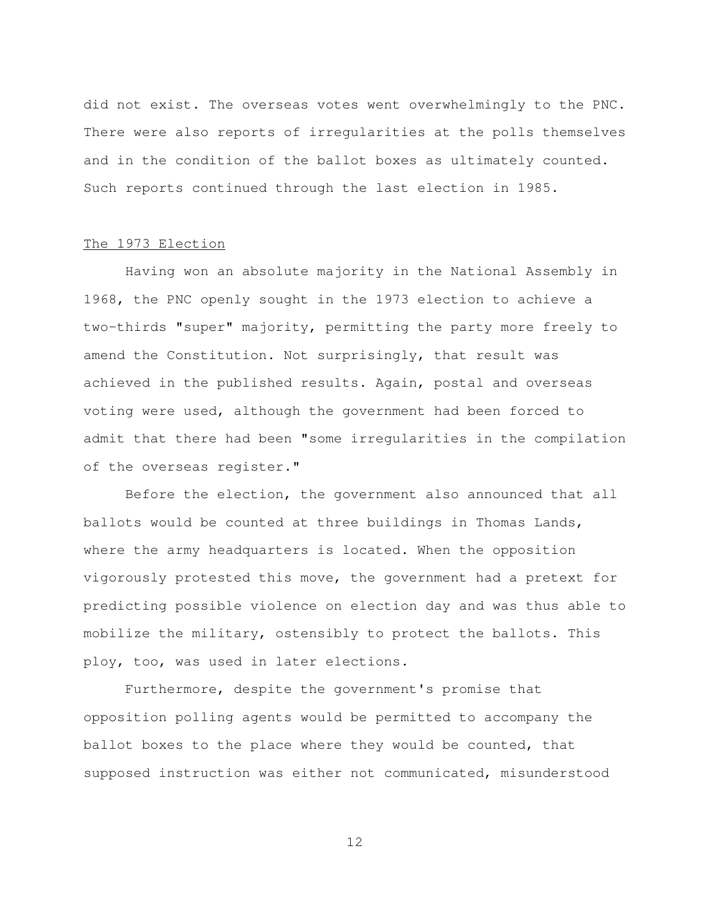did not exist. The overseas votes went overwhelmingly to the PNC. There were also reports of irregularities at the polls themselves and in the condition of the ballot boxes as ultimately counted. Such reports continued through the last election in 1985.

# The 1973 Election

 Having won an absolute majority in the National Assembly in 1968, the PNC openly sought in the 1973 election to achieve a two-thirds "super" majority, permitting the party more freely to amend the Constitution. Not surprisingly, that result was achieved in the published results. Again, postal and overseas voting were used, although the government had been forced to admit that there had been "some irregularities in the compilation of the overseas register."

 Before the election, the government also announced that all ballots would be counted at three buildings in Thomas Lands, where the army headquarters is located. When the opposition vigorously protested this move, the government had a pretext for predicting possible violence on election day and was thus able to mobilize the military, ostensibly to protect the ballots. This ploy, too, was used in later elections.

 Furthermore, despite the government's promise that opposition polling agents would be permitted to accompany the ballot boxes to the place where they would be counted, that supposed instruction was either not communicated, misunderstood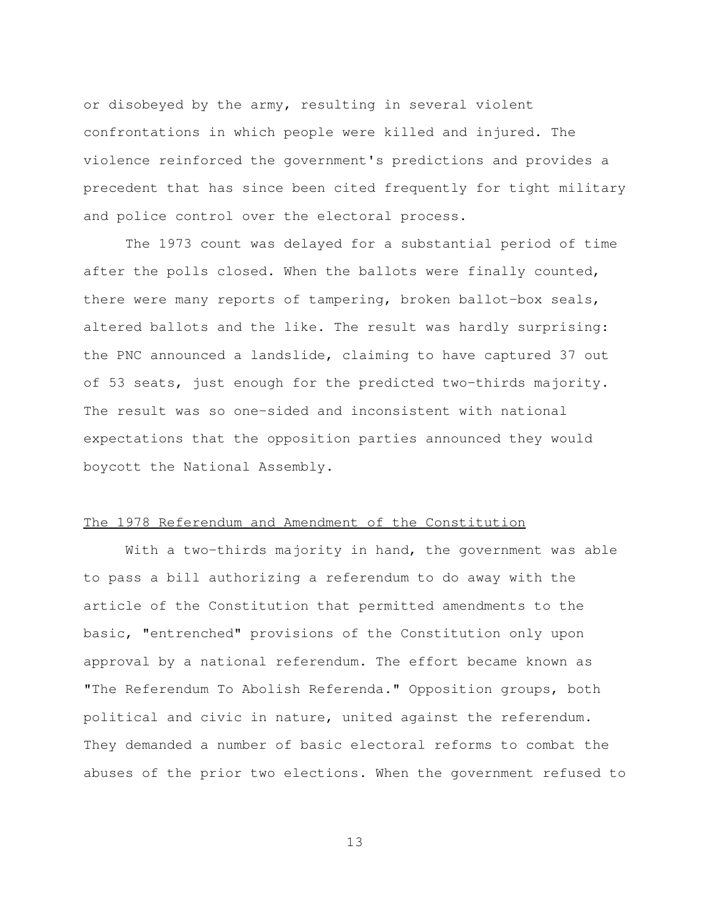or disobeyed by the army, resulting in several violent confrontations in which people were killed and injured. The violence reinforced the government's predictions and provides a precedent that has since been cited frequently for tight military and police control over the electoral process.

 The 1973 count was delayed for a substantial period of time after the polls closed. When the ballots were finally counted, there were many reports of tampering, broken ballot-box seals, altered ballots and the like. The result was hardly surprising: the PNC announced a landslide, claiming to have captured 37 out of 53 seats, just enough for the predicted two-thirds majority. The result was so one-sided and inconsistent with national expectations that the opposition parties announced they would boycott the National Assembly.

### The 1978 Referendum and Amendment of the Constitution

With a two-thirds majority in hand, the government was able to pass a bill authorizing a referendum to do away with the article of the Constitution that permitted amendments to the basic, "entrenched" provisions of the Constitution only upon approval by a national referendum. The effort became known as "The Referendum To Abolish Referenda." Opposition groups, both political and civic in nature, united against the referendum. They demanded a number of basic electoral reforms to combat the abuses of the prior two elections. When the government refused to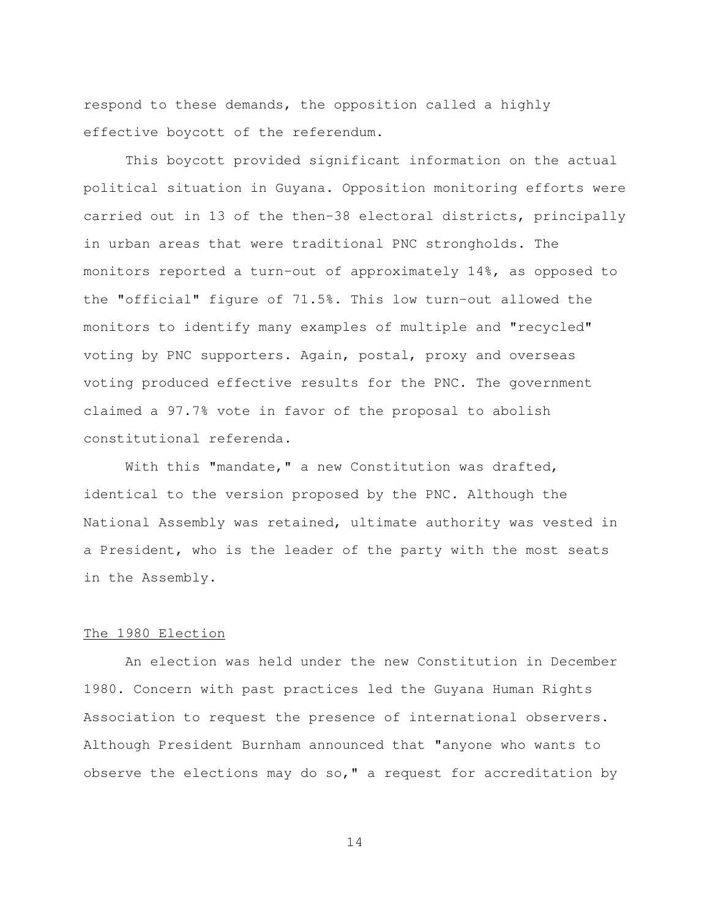respond to these demands, the opposition called a highly effective boycott of the referendum.

 This boycott provided significant information on the actual political situation in Guyana. Opposition monitoring efforts were carried out in 13 of the then-38 electoral districts, principally in urban areas that were traditional PNC strongholds. The monitors reported a turn-out of approximately 14%, as opposed to the "official" figure of 71.5%. This low turn-out allowed the monitors to identify many examples of multiple and "recycled" voting by PNC supporters. Again, postal, proxy and overseas voting produced effective results for the PNC. The government claimed a 97.7% vote in favor of the proposal to abolish constitutional referenda.

With this "mandate," a new Constitution was drafted, identical to the version proposed by the PNC. Although the National Assembly was retained, ultimate authority was vested in a President, who is the leader of the party with the most seats in the Assembly.

### The 1980 Election

 An election was held under the new Constitution in December 1980. Concern with past practices led the Guyana Human Rights Association to request the presence of international observers. Although President Burnham announced that "anyone who wants to observe the elections may do so," a request for accreditation by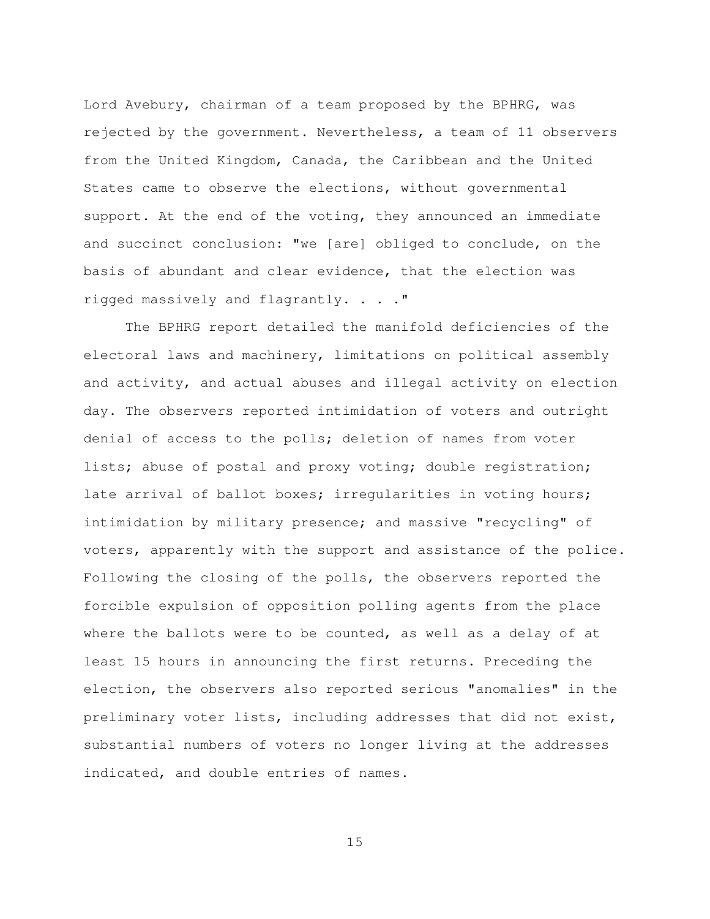Lord Avebury, chairman of a team proposed by the BPHRG, was rejected by the government. Nevertheless, a team of 11 observers from the United Kingdom, Canada, the Caribbean and the United States came to observe the elections, without governmental support. At the end of the voting, they announced an immediate and succinct conclusion: "we [are] obliged to conclude, on the basis of abundant and clear evidence, that the election was rigged massively and flagrantly. . . ."

 The BPHRG report detailed the manifold deficiencies of the electoral laws and machinery, limitations on political assembly and activity, and actual abuses and illegal activity on election day. The observers reported intimidation of voters and outright denial of access to the polls; deletion of names from voter lists; abuse of postal and proxy voting; double registration; late arrival of ballot boxes; irregularities in voting hours; intimidation by military presence; and massive "recycling" of voters, apparently with the support and assistance of the police. Following the closing of the polls, the observers reported the forcible expulsion of opposition polling agents from the place where the ballots were to be counted, as well as a delay of at least 15 hours in announcing the first returns. Preceding the election, the observers also reported serious "anomalies" in the preliminary voter lists, including addresses that did not exist, substantial numbers of voters no longer living at the addresses indicated, and double entries of names.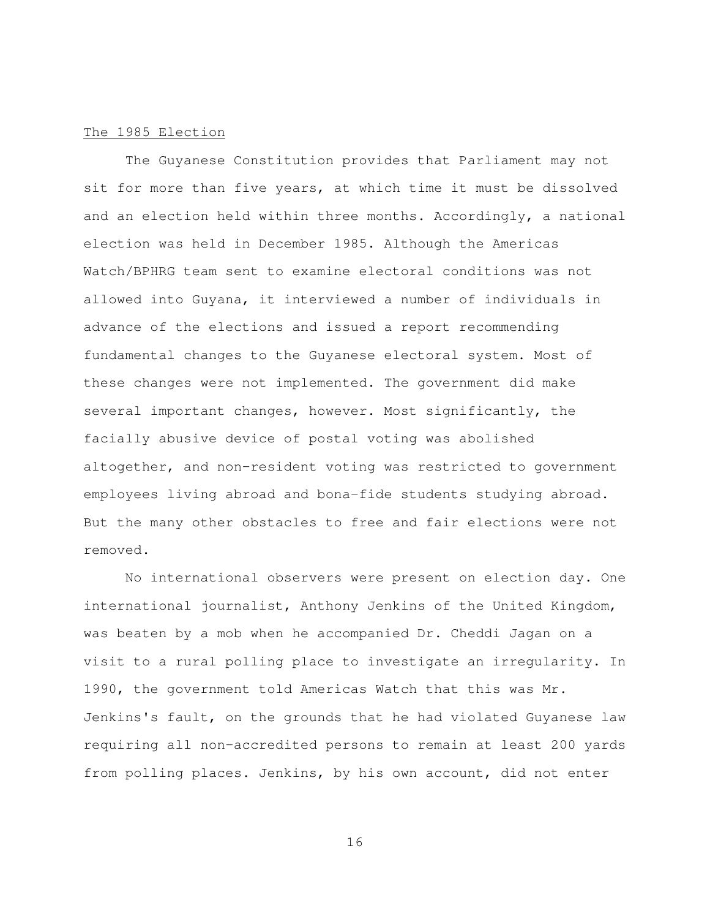### The 1985 Election

 The Guyanese Constitution provides that Parliament may not sit for more than five years, at which time it must be dissolved and an election held within three months. Accordingly, a national election was held in December 1985. Although the Americas Watch/BPHRG team sent to examine electoral conditions was not allowed into Guyana, it interviewed a number of individuals in advance of the elections and issued a report recommending fundamental changes to the Guyanese electoral system. Most of these changes were not implemented. The government did make several important changes, however. Most significantly, the facially abusive device of postal voting was abolished altogether, and non-resident voting was restricted to government employees living abroad and bona-fide students studying abroad. But the many other obstacles to free and fair elections were not removed.

 No international observers were present on election day. One international journalist, Anthony Jenkins of the United Kingdom, was beaten by a mob when he accompanied Dr. Cheddi Jagan on a visit to a rural polling place to investigate an irregularity. In 1990, the government told Americas Watch that this was Mr. Jenkins's fault, on the grounds that he had violated Guyanese law requiring all non-accredited persons to remain at least 200 yards from polling places. Jenkins, by his own account, did not enter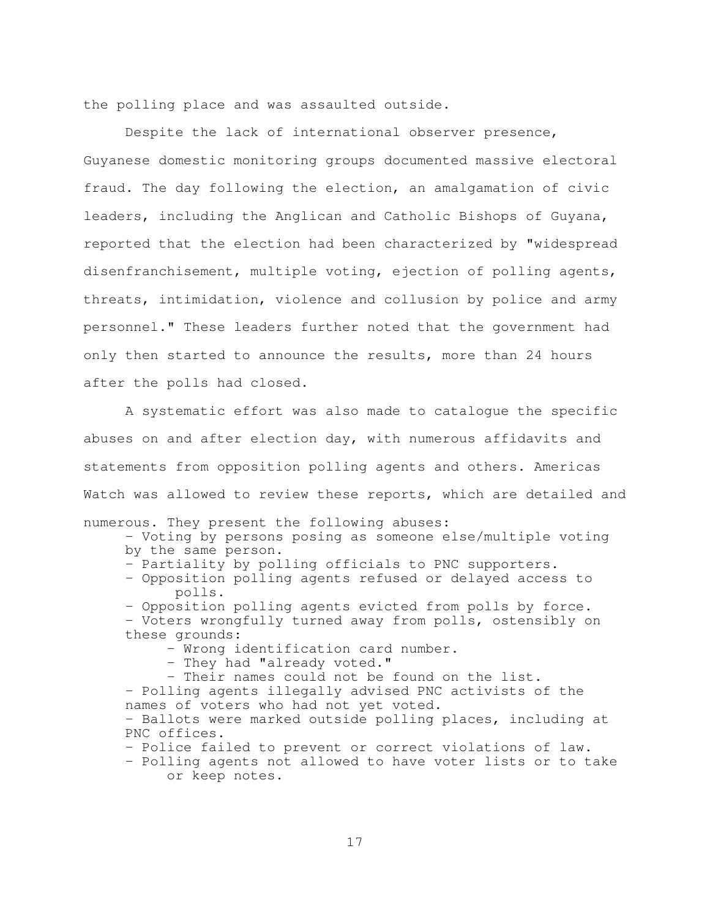the polling place and was assaulted outside.

 Despite the lack of international observer presence, Guyanese domestic monitoring groups documented massive electoral fraud. The day following the election, an amalgamation of civic leaders, including the Anglican and Catholic Bishops of Guyana, reported that the election had been characterized by "widespread disenfranchisement, multiple voting, ejection of polling agents, threats, intimidation, violence and collusion by police and army personnel." These leaders further noted that the government had only then started to announce the results, more than 24 hours after the polls had closed.

 A systematic effort was also made to catalogue the specific abuses on and after election day, with numerous affidavits and statements from opposition polling agents and others. Americas Watch was allowed to review these reports, which are detailed and

numerous. They present the following abuses:

 - Voting by persons posing as someone else/multiple voting by the same person.

- Partiality by polling officials to PNC supporters.

 - Opposition polling agents refused or delayed access to polls.

- Opposition polling agents evicted from polls by force.

 - Voters wrongfully turned away from polls, ostensibly on these grounds:

- Wrong identification card number.

- They had "already voted."

 - Their names could not be found on the list. - Polling agents illegally advised PNC activists of the names of voters who had not yet voted. - Ballots were marked outside polling places, including at PNC offices.

- Police failed to prevent or correct violations of law.

 - Polling agents not allowed to have voter lists or to take or keep notes.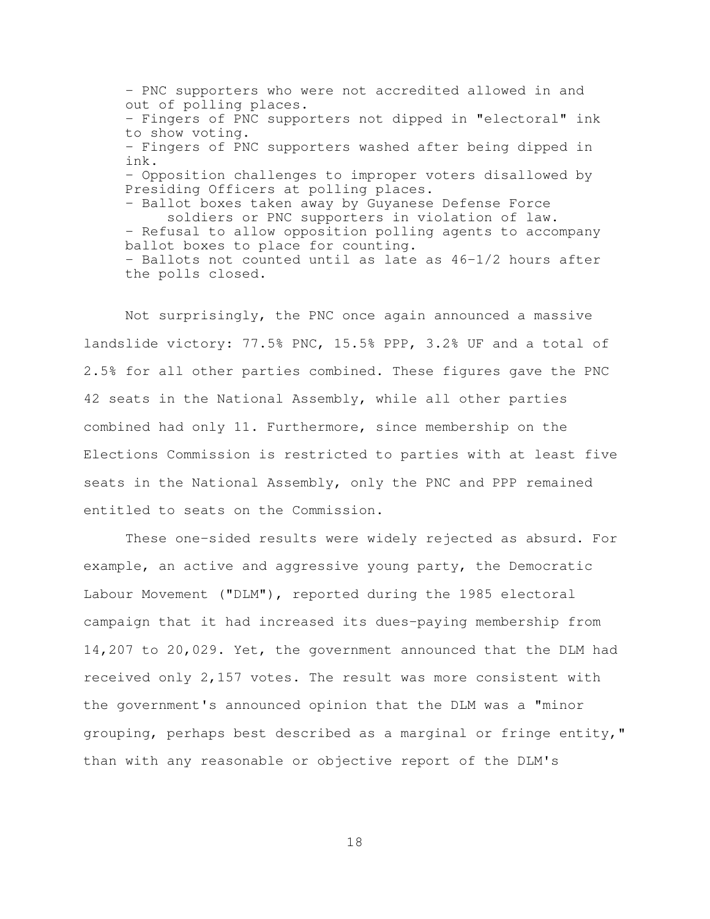- PNC supporters who were not accredited allowed in and out of polling places. - Fingers of PNC supporters not dipped in "electoral" ink to show voting. - Fingers of PNC supporters washed after being dipped in ink. - Opposition challenges to improper voters disallowed by Presiding Officers at polling places. - Ballot boxes taken away by Guyanese Defense Force soldiers or PNC supporters in violation of law. - Refusal to allow opposition polling agents to accompany ballot boxes to place for counting. - Ballots not counted until as late as 46-1/2 hours after the polls closed.

 Not surprisingly, the PNC once again announced a massive landslide victory: 77.5% PNC, 15.5% PPP, 3.2% UF and a total of 2.5% for all other parties combined. These figures gave the PNC 42 seats in the National Assembly, while all other parties combined had only 11. Furthermore, since membership on the Elections Commission is restricted to parties with at least five seats in the National Assembly, only the PNC and PPP remained entitled to seats on the Commission.

 These one-sided results were widely rejected as absurd. For example, an active and aggressive young party, the Democratic Labour Movement ("DLM"), reported during the 1985 electoral campaign that it had increased its dues-paying membership from 14,207 to 20,029. Yet, the government announced that the DLM had received only 2,157 votes. The result was more consistent with the government's announced opinion that the DLM was a "minor grouping, perhaps best described as a marginal or fringe entity," than with any reasonable or objective report of the DLM's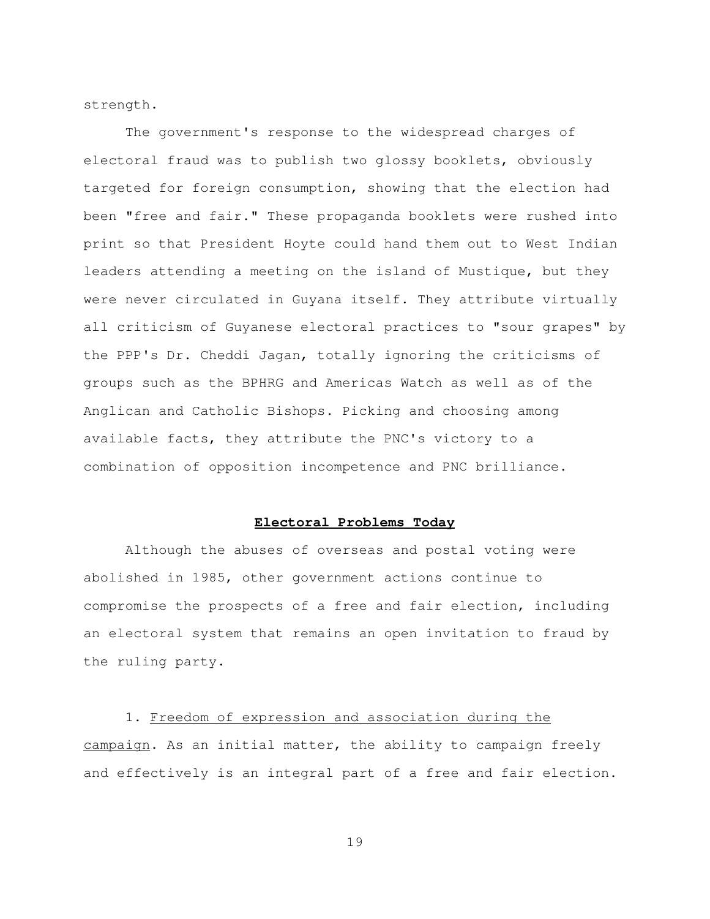strength.

 The government's response to the widespread charges of electoral fraud was to publish two glossy booklets, obviously targeted for foreign consumption, showing that the election had been "free and fair." These propaganda booklets were rushed into print so that President Hoyte could hand them out to West Indian leaders attending a meeting on the island of Mustique, but they were never circulated in Guyana itself. They attribute virtually all criticism of Guyanese electoral practices to "sour grapes" by the PPP's Dr. Cheddi Jagan, totally ignoring the criticisms of groups such as the BPHRG and Americas Watch as well as of the Anglican and Catholic Bishops. Picking and choosing among available facts, they attribute the PNC's victory to a combination of opposition incompetence and PNC brilliance.

## **Electoral Problems Today**

 Although the abuses of overseas and postal voting were abolished in 1985, other government actions continue to compromise the prospects of a free and fair election, including an electoral system that remains an open invitation to fraud by the ruling party.

 1. Freedom of expression and association during the campaign. As an initial matter, the ability to campaign freely and effectively is an integral part of a free and fair election.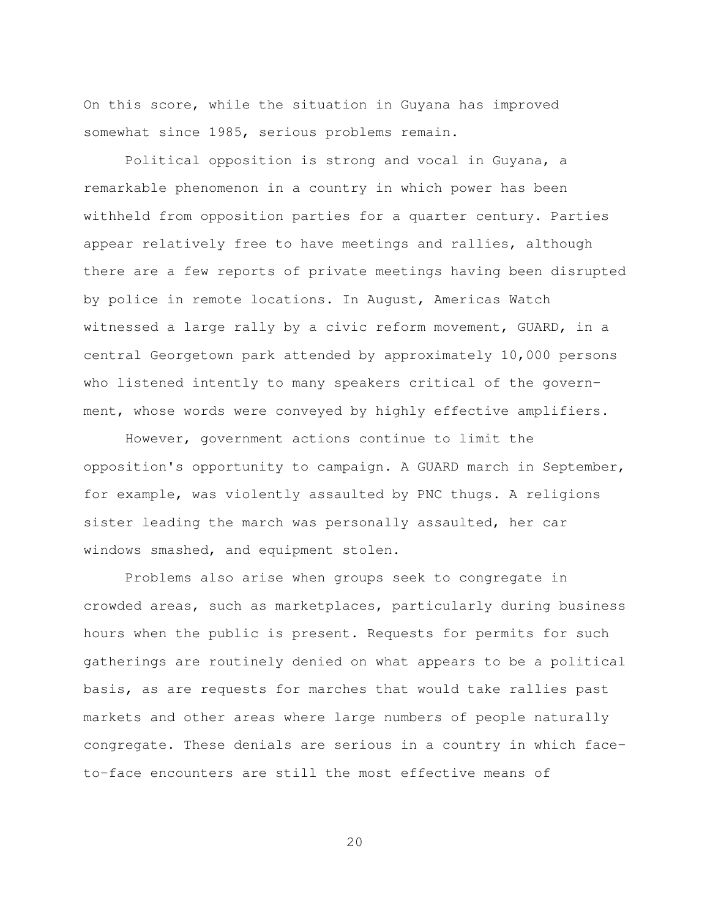On this score, while the situation in Guyana has improved somewhat since 1985, serious problems remain.

 Political opposition is strong and vocal in Guyana, a remarkable phenomenon in a country in which power has been withheld from opposition parties for a quarter century. Parties appear relatively free to have meetings and rallies, although there are a few reports of private meetings having been disrupted by police in remote locations. In August, Americas Watch witnessed a large rally by a civic reform movement, GUARD, in a central Georgetown park attended by approximately 10,000 persons who listened intently to many speakers critical of the government, whose words were conveyed by highly effective amplifiers.

 However, government actions continue to limit the opposition's opportunity to campaign. A GUARD march in September, for example, was violently assaulted by PNC thugs. A religions sister leading the march was personally assaulted, her car windows smashed, and equipment stolen.

 Problems also arise when groups seek to congregate in crowded areas, such as marketplaces, particularly during business hours when the public is present. Requests for permits for such gatherings are routinely denied on what appears to be a political basis, as are requests for marches that would take rallies past markets and other areas where large numbers of people naturally congregate. These denials are serious in a country in which faceto-face encounters are still the most effective means of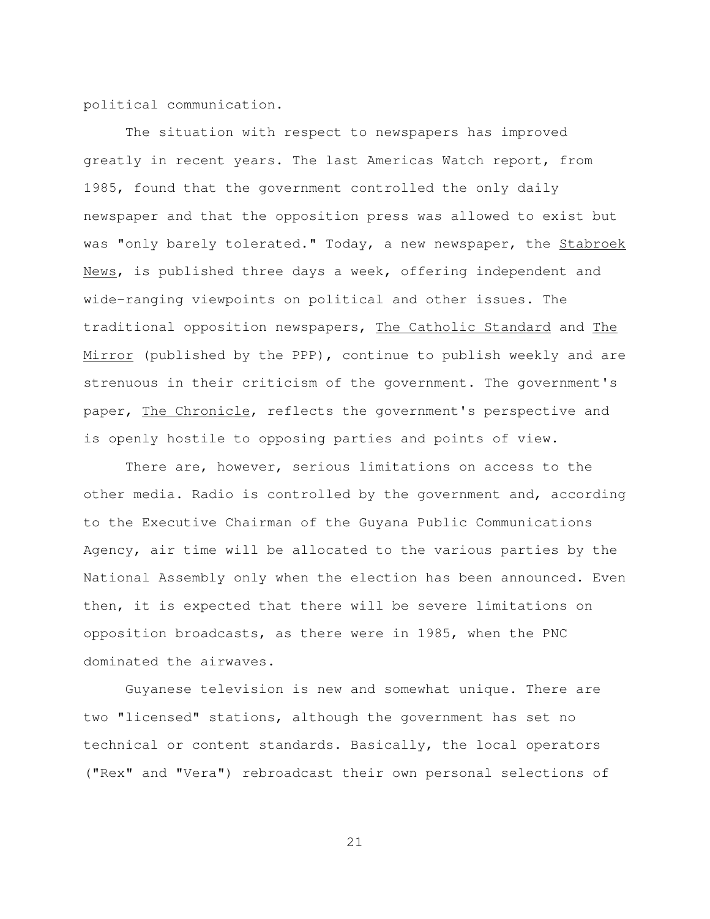political communication.

 The situation with respect to newspapers has improved greatly in recent years. The last Americas Watch report, from 1985, found that the government controlled the only daily newspaper and that the opposition press was allowed to exist but was "only barely tolerated." Today, a new newspaper, the Stabroek News, is published three days a week, offering independent and wide-ranging viewpoints on political and other issues. The traditional opposition newspapers, The Catholic Standard and The Mirror (published by the PPP), continue to publish weekly and are strenuous in their criticism of the government. The government's paper, The Chronicle, reflects the government's perspective and is openly hostile to opposing parties and points of view.

 There are, however, serious limitations on access to the other media. Radio is controlled by the government and, according to the Executive Chairman of the Guyana Public Communications Agency, air time will be allocated to the various parties by the National Assembly only when the election has been announced. Even then, it is expected that there will be severe limitations on opposition broadcasts, as there were in 1985, when the PNC dominated the airwaves.

 Guyanese television is new and somewhat unique. There are two "licensed" stations, although the government has set no technical or content standards. Basically, the local operators ("Rex" and "Vera") rebroadcast their own personal selections of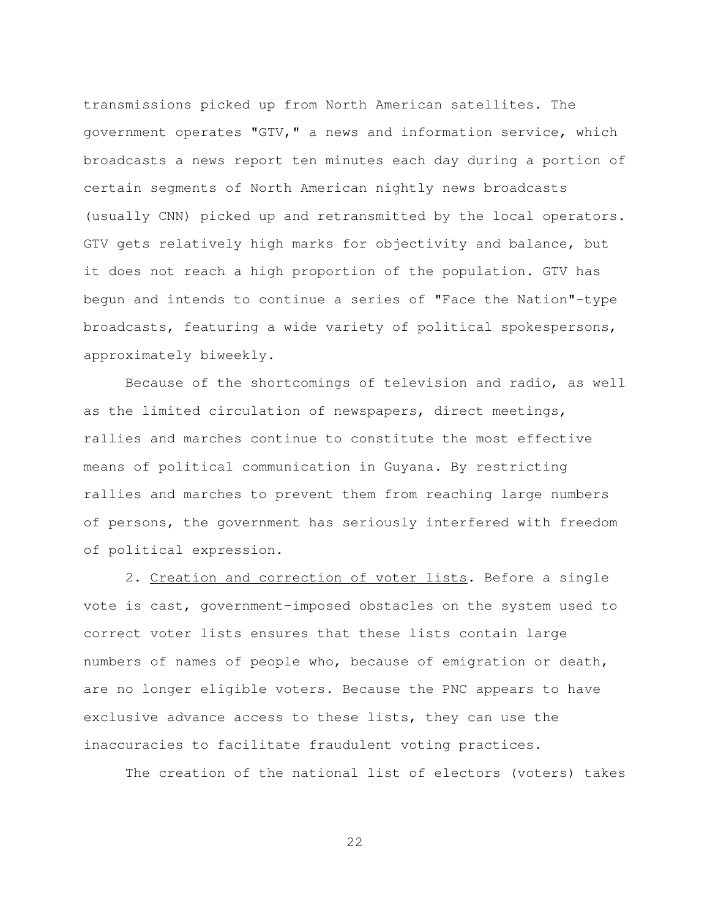transmissions picked up from North American satellites. The government operates "GTV," a news and information service, which broadcasts a news report ten minutes each day during a portion of certain segments of North American nightly news broadcasts (usually CNN) picked up and retransmitted by the local operators. GTV gets relatively high marks for objectivity and balance, but it does not reach a high proportion of the population. GTV has begun and intends to continue a series of "Face the Nation"-type broadcasts, featuring a wide variety of political spokespersons, approximately biweekly.

 Because of the shortcomings of television and radio, as well as the limited circulation of newspapers, direct meetings, rallies and marches continue to constitute the most effective means of political communication in Guyana. By restricting rallies and marches to prevent them from reaching large numbers of persons, the government has seriously interfered with freedom of political expression.

 2. Creation and correction of voter lists. Before a single vote is cast, government-imposed obstacles on the system used to correct voter lists ensures that these lists contain large numbers of names of people who, because of emigration or death, are no longer eligible voters. Because the PNC appears to have exclusive advance access to these lists, they can use the inaccuracies to facilitate fraudulent voting practices.

The creation of the national list of electors (voters) takes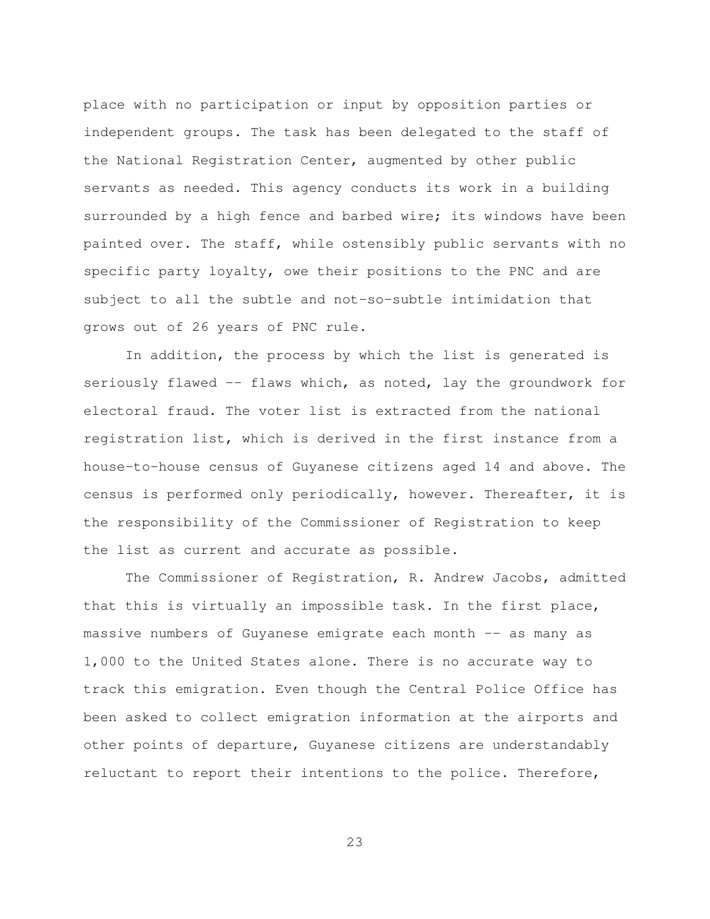place with no participation or input by opposition parties or independent groups. The task has been delegated to the staff of the National Registration Center, augmented by other public servants as needed. This agency conducts its work in a building surrounded by a high fence and barbed wire; its windows have been painted over. The staff, while ostensibly public servants with no specific party loyalty, owe their positions to the PNC and are subject to all the subtle and not-so-subtle intimidation that grows out of 26 years of PNC rule.

 In addition, the process by which the list is generated is seriously flawed -- flaws which, as noted, lay the groundwork for electoral fraud. The voter list is extracted from the national registration list, which is derived in the first instance from a house-to-house census of Guyanese citizens aged 14 and above. The census is performed only periodically, however. Thereafter, it is the responsibility of the Commissioner of Registration to keep the list as current and accurate as possible.

 The Commissioner of Registration, R. Andrew Jacobs, admitted that this is virtually an impossible task. In the first place, massive numbers of Guyanese emigrate each month -- as many as 1,000 to the United States alone. There is no accurate way to track this emigration. Even though the Central Police Office has been asked to collect emigration information at the airports and other points of departure, Guyanese citizens are understandably reluctant to report their intentions to the police. Therefore,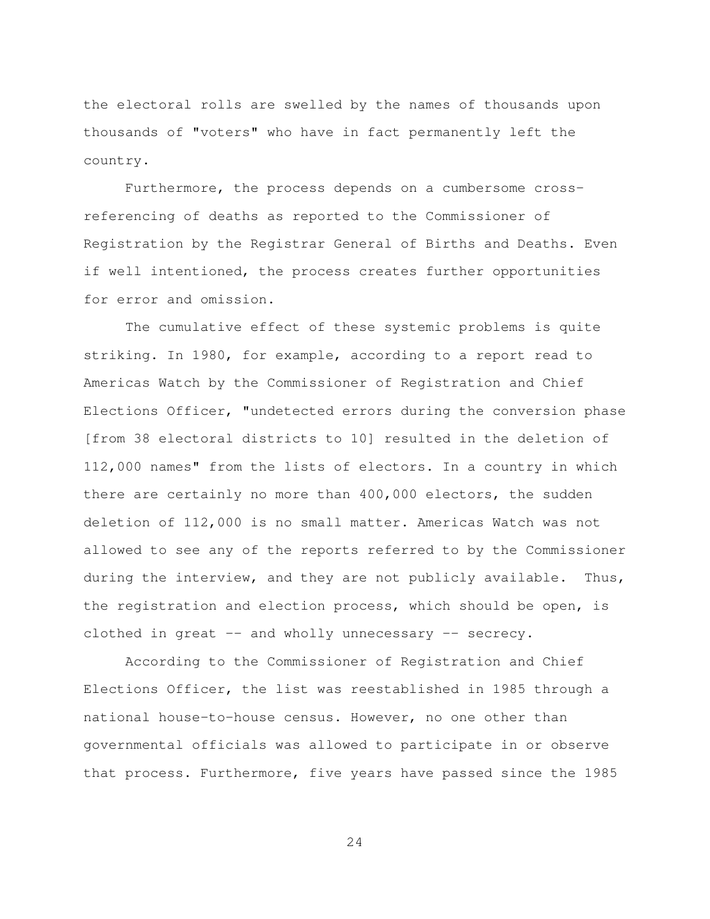the electoral rolls are swelled by the names of thousands upon thousands of "voters" who have in fact permanently left the country.

 Furthermore, the process depends on a cumbersome crossreferencing of deaths as reported to the Commissioner of Registration by the Registrar General of Births and Deaths. Even if well intentioned, the process creates further opportunities for error and omission.

 The cumulative effect of these systemic problems is quite striking. In 1980, for example, according to a report read to Americas Watch by the Commissioner of Registration and Chief Elections Officer, "undetected errors during the conversion phase [from 38 electoral districts to 10] resulted in the deletion of 112,000 names" from the lists of electors. In a country in which there are certainly no more than 400,000 electors, the sudden deletion of 112,000 is no small matter. Americas Watch was not allowed to see any of the reports referred to by the Commissioner during the interview, and they are not publicly available. Thus, the registration and election process, which should be open, is clothed in great -- and wholly unnecessary -- secrecy.

 According to the Commissioner of Registration and Chief Elections Officer, the list was reestablished in 1985 through a national house-to-house census. However, no one other than governmental officials was allowed to participate in or observe that process. Furthermore, five years have passed since the 1985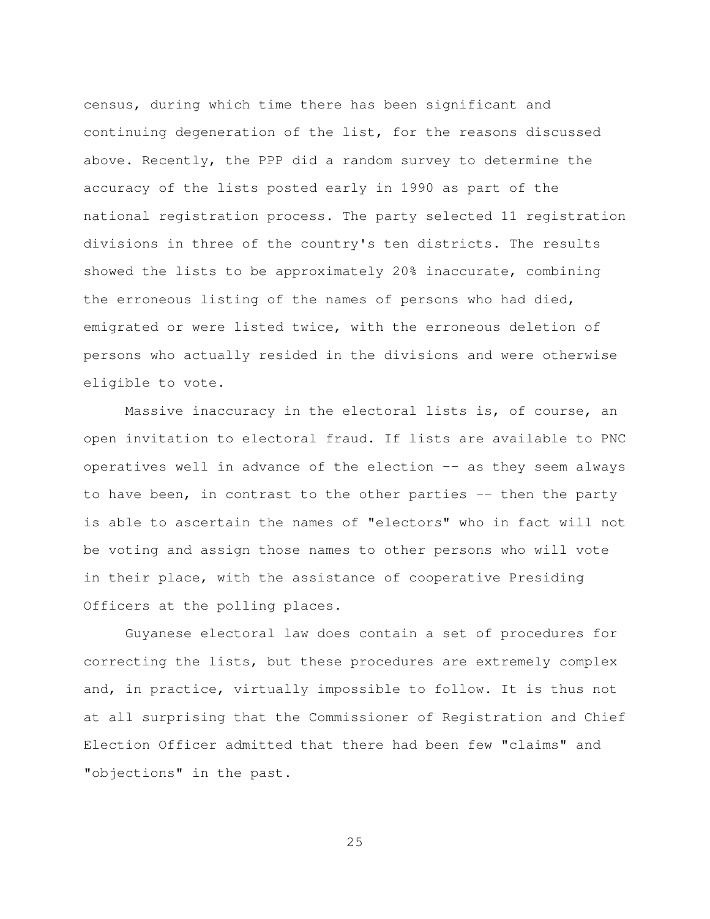census, during which time there has been significant and continuing degeneration of the list, for the reasons discussed above. Recently, the PPP did a random survey to determine the accuracy of the lists posted early in 1990 as part of the national registration process. The party selected 11 registration divisions in three of the country's ten districts. The results showed the lists to be approximately 20% inaccurate, combining the erroneous listing of the names of persons who had died, emigrated or were listed twice, with the erroneous deletion of persons who actually resided in the divisions and were otherwise eligible to vote.

 Massive inaccuracy in the electoral lists is, of course, an open invitation to electoral fraud. If lists are available to PNC operatives well in advance of the election -- as they seem always to have been, in contrast to the other parties -- then the party is able to ascertain the names of "electors" who in fact will not be voting and assign those names to other persons who will vote in their place, with the assistance of cooperative Presiding Officers at the polling places.

 Guyanese electoral law does contain a set of procedures for correcting the lists, but these procedures are extremely complex and, in practice, virtually impossible to follow. It is thus not at all surprising that the Commissioner of Registration and Chief Election Officer admitted that there had been few "claims" and "objections" in the past.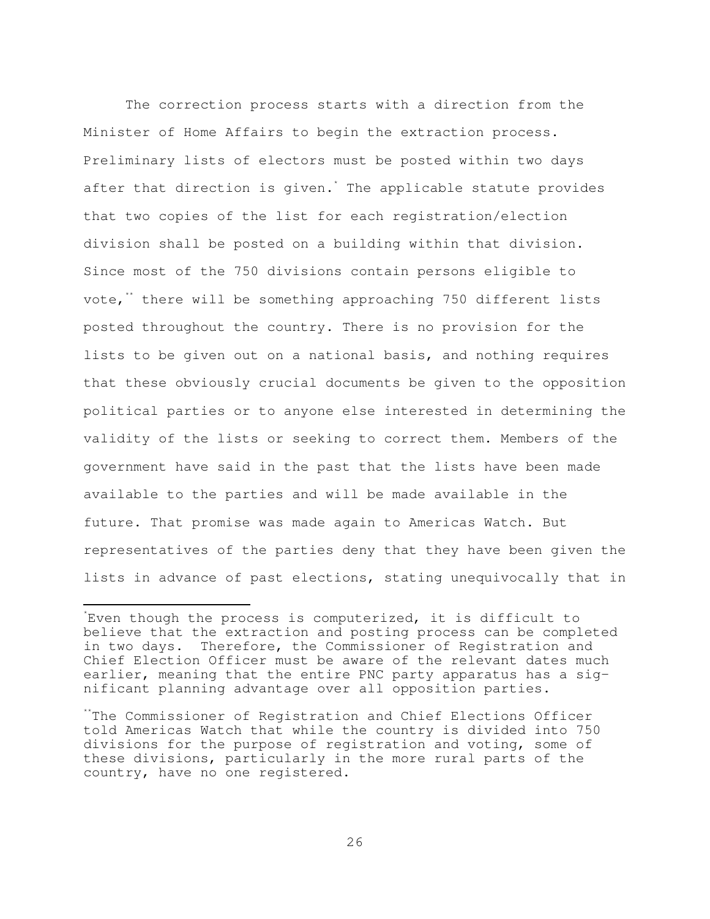The correction process starts with a direction from the Minister of Home Affairs to begin the extraction process. Preliminary lists of electors must be posted within two days after that direction is given.<sup>\*</sup> The applicable statute provides that two copies of the list for each registration/election division shall be posted on a building within that division. Since most of the 750 divisions contain persons eligible to vote,<sup>\*\*</sup> there will be something approaching 750 different lists posted throughout the country. There is no provision for the lists to be given out on a national basis, and nothing requires that these obviously crucial documents be given to the opposition political parties or to anyone else interested in determining the validity of the lists or seeking to correct them. Members of the government have said in the past that the lists have been made available to the parties and will be made available in the future. That promise was made again to Americas Watch. But representatives of the parties deny that they have been given the lists in advance of past elections, stating unequivocally that in

È,

<sup>\*</sup> Even though the process is computerized, it is difficult to believe that the extraction and posting process can be completed in two days. Therefore, the Commissioner of Registration and Chief Election Officer must be aware of the relevant dates much earlier, meaning that the entire PNC party apparatus has a significant planning advantage over all opposition parties.

<sup>\*\*</sup>The Commissioner of Registration and Chief Elections Officer told Americas Watch that while the country is divided into 750 divisions for the purpose of registration and voting, some of these divisions, particularly in the more rural parts of the country, have no one registered.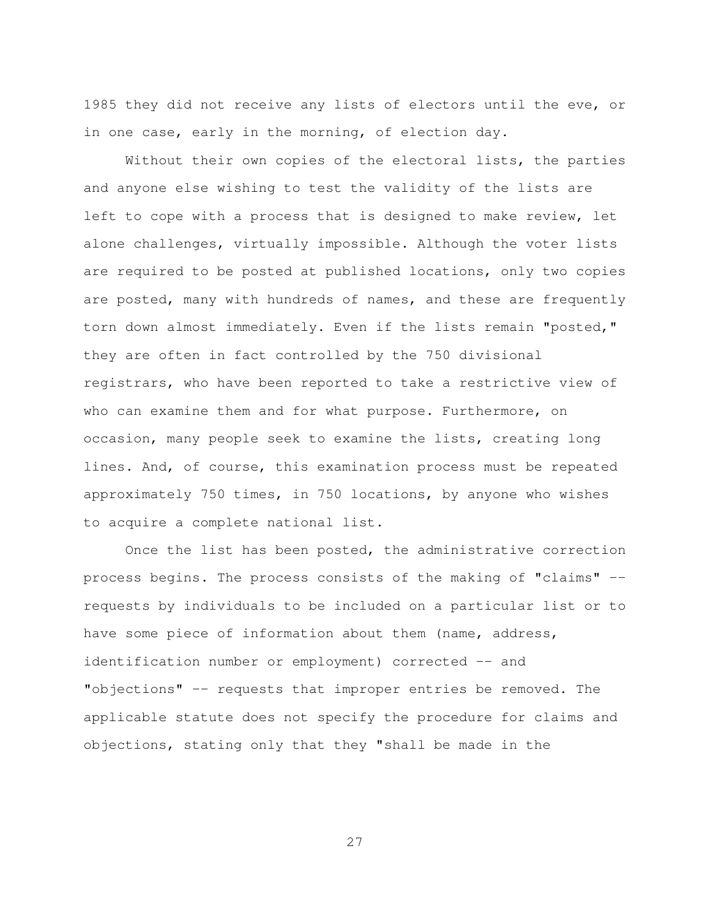1985 they did not receive any lists of electors until the eve, or in one case, early in the morning, of election day.

 Without their own copies of the electoral lists, the parties and anyone else wishing to test the validity of the lists are left to cope with a process that is designed to make review, let alone challenges, virtually impossible. Although the voter lists are required to be posted at published locations, only two copies are posted, many with hundreds of names, and these are frequently torn down almost immediately. Even if the lists remain "posted," they are often in fact controlled by the 750 divisional registrars, who have been reported to take a restrictive view of who can examine them and for what purpose. Furthermore, on occasion, many people seek to examine the lists, creating long lines. And, of course, this examination process must be repeated approximately 750 times, in 750 locations, by anyone who wishes to acquire a complete national list.

 Once the list has been posted, the administrative correction process begins. The process consists of the making of "claims" - requests by individuals to be included on a particular list or to have some piece of information about them (name, address, identification number or employment) corrected -- and "objections" -- requests that improper entries be removed. The applicable statute does not specify the procedure for claims and objections, stating only that they "shall be made in the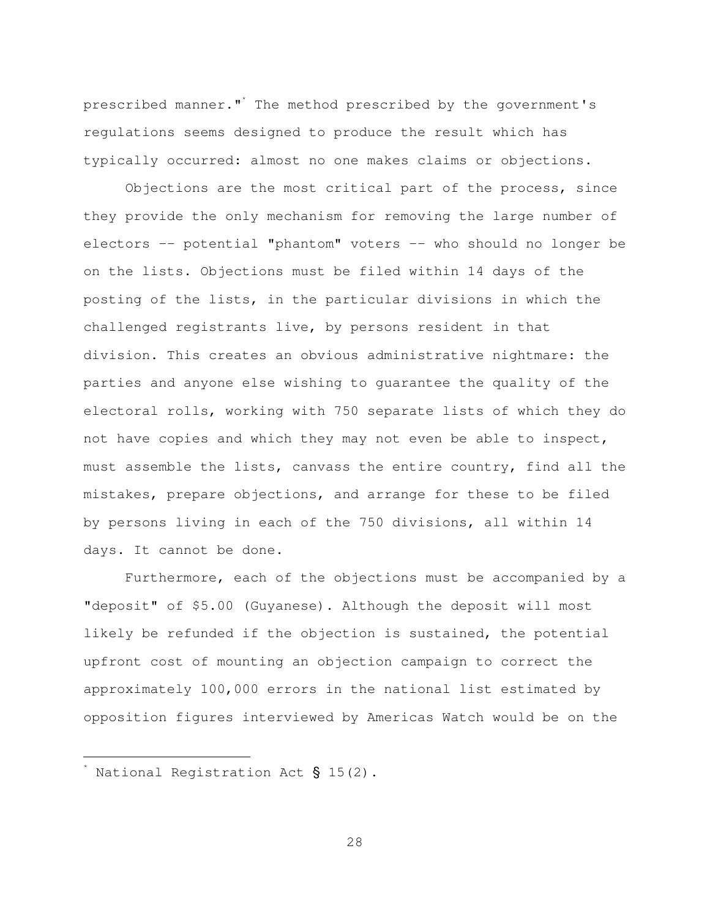prescribed manner."\* The method prescribed by the government's regulations seems designed to produce the result which has typically occurred: almost no one makes claims or objections.

 Objections are the most critical part of the process, since they provide the only mechanism for removing the large number of electors -- potential "phantom" voters -- who should no longer be on the lists. Objections must be filed within 14 days of the posting of the lists, in the particular divisions in which the challenged registrants live, by persons resident in that division. This creates an obvious administrative nightmare: the parties and anyone else wishing to guarantee the quality of the electoral rolls, working with 750 separate lists of which they do not have copies and which they may not even be able to inspect, must assemble the lists, canvass the entire country, find all the mistakes, prepare objections, and arrange for these to be filed by persons living in each of the 750 divisions, all within 14 days. It cannot be done.

 Furthermore, each of the objections must be accompanied by a "deposit" of \$5.00 (Guyanese). Although the deposit will most likely be refunded if the objection is sustained, the potential upfront cost of mounting an objection campaign to correct the approximately 100,000 errors in the national list estimated by opposition figures interviewed by Americas Watch would be on the

È,

 $^*$  National Registration Act § 15(2).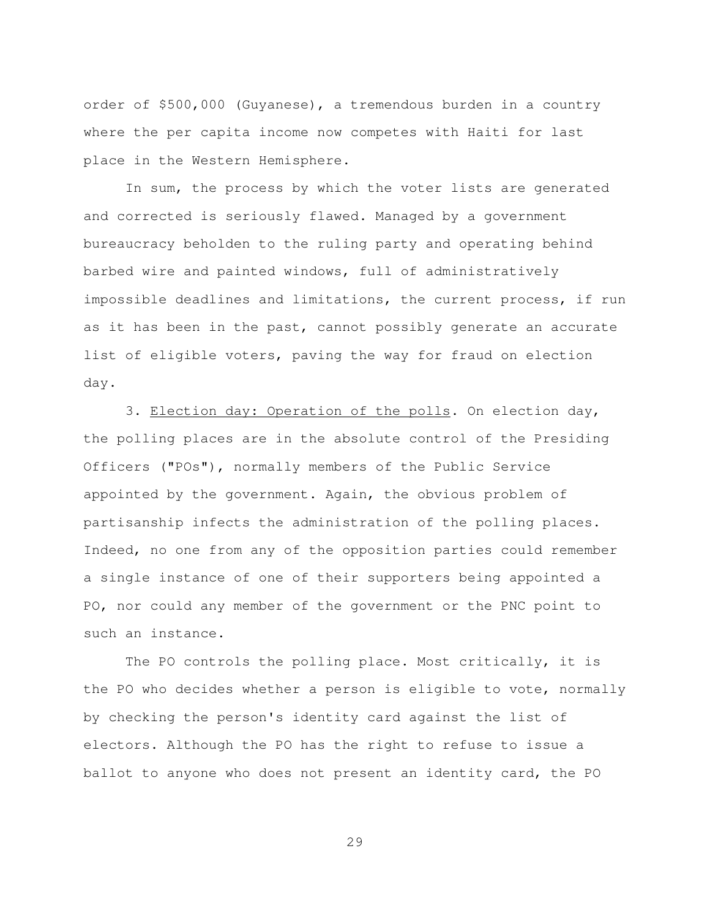order of \$500,000 (Guyanese), a tremendous burden in a country where the per capita income now competes with Haiti for last place in the Western Hemisphere.

 In sum, the process by which the voter lists are generated and corrected is seriously flawed. Managed by a government bureaucracy beholden to the ruling party and operating behind barbed wire and painted windows, full of administratively impossible deadlines and limitations, the current process, if run as it has been in the past, cannot possibly generate an accurate list of eligible voters, paving the way for fraud on election day.

 3. Election day: Operation of the polls. On election day, the polling places are in the absolute control of the Presiding Officers ("POs"), normally members of the Public Service appointed by the government. Again, the obvious problem of partisanship infects the administration of the polling places. Indeed, no one from any of the opposition parties could remember a single instance of one of their supporters being appointed a PO, nor could any member of the government or the PNC point to such an instance.

 The PO controls the polling place. Most critically, it is the PO who decides whether a person is eligible to vote, normally by checking the person's identity card against the list of electors. Although the PO has the right to refuse to issue a ballot to anyone who does not present an identity card, the PO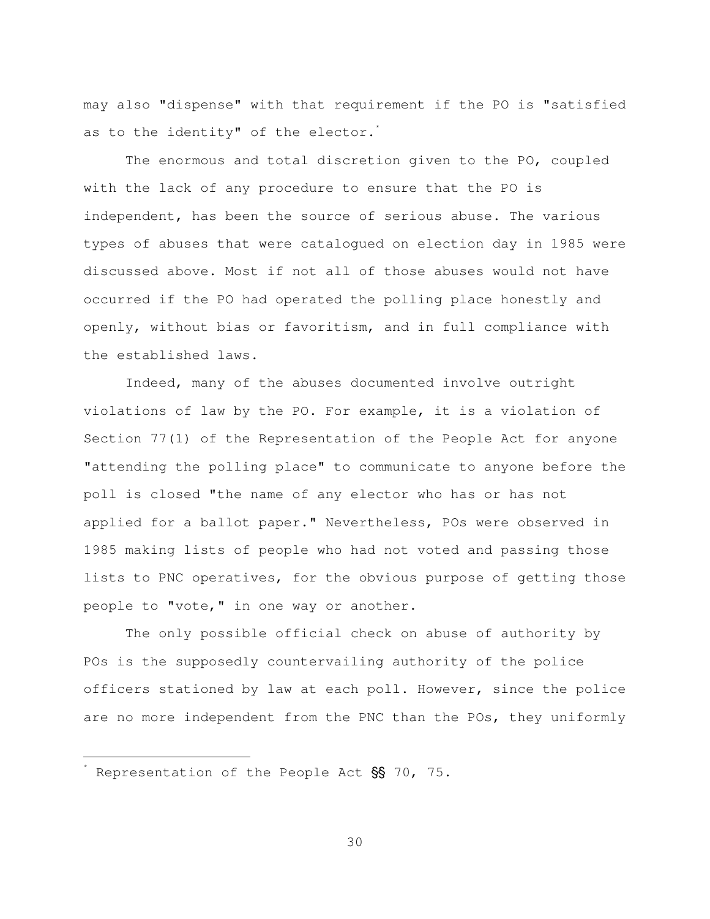may also "dispense" with that requirement if the PO is "satisfied as to the identity" of the elector.<sup>\*</sup>

 The enormous and total discretion given to the PO, coupled with the lack of any procedure to ensure that the PO is independent, has been the source of serious abuse. The various types of abuses that were catalogued on election day in 1985 were discussed above. Most if not all of those abuses would not have occurred if the PO had operated the polling place honestly and openly, without bias or favoritism, and in full compliance with the established laws.

 Indeed, many of the abuses documented involve outright violations of law by the PO. For example, it is a violation of Section 77(1) of the Representation of the People Act for anyone "attending the polling place" to communicate to anyone before the poll is closed "the name of any elector who has or has not applied for a ballot paper." Nevertheless, POs were observed in 1985 making lists of people who had not voted and passing those lists to PNC operatives, for the obvious purpose of getting those people to "vote," in one way or another.

 The only possible official check on abuse of authority by POs is the supposedly countervailing authority of the police officers stationed by law at each poll. However, since the police are no more independent from the PNC than the POs, they uniformly

È,

 $\degree$  Representation of the People Act  $\$  70, 75.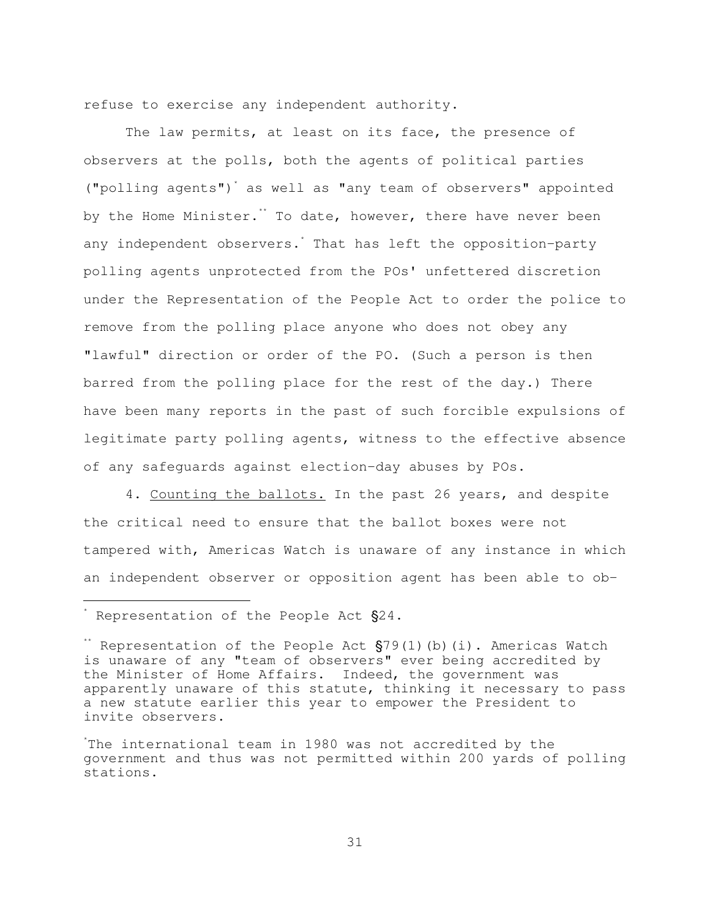refuse to exercise any independent authority.

 The law permits, at least on its face, the presence of observers at the polls, both the agents of political parties ("polling agents")\* as well as "any team of observers" appointed by the Home Minister.<sup>\*\*</sup> To date, however, there have never been any independent observers. That has left the opposition-party polling agents unprotected from the POs' unfettered discretion under the Representation of the People Act to order the police to remove from the polling place anyone who does not obey any "lawful" direction or order of the PO. (Such a person is then barred from the polling place for the rest of the day.) There have been many reports in the past of such forcible expulsions of legitimate party polling agents, witness to the effective absence of any safeguards against election-day abuses by POs.

 4. Counting the ballots. In the past 26 years, and despite the critical need to ensure that the ballot boxes were not tampered with, Americas Watch is unaware of any instance in which an independent observer or opposition agent has been able to ob-

 $\overline{\phantom{0}}$ 

 $*$  Representation of the People Act  $\S 24$ .

<sup>\*\*</sup> Representation of the People Act  $\S79(1)$ (b)(i). Americas Watch is unaware of any "team of observers" ever being accredited by the Minister of Home Affairs. Indeed, the government was apparently unaware of this statute, thinking it necessary to pass a new statute earlier this year to empower the President to invite observers.

<sup>\*</sup> The international team in 1980 was not accredited by the government and thus was not permitted within 200 yards of polling stations.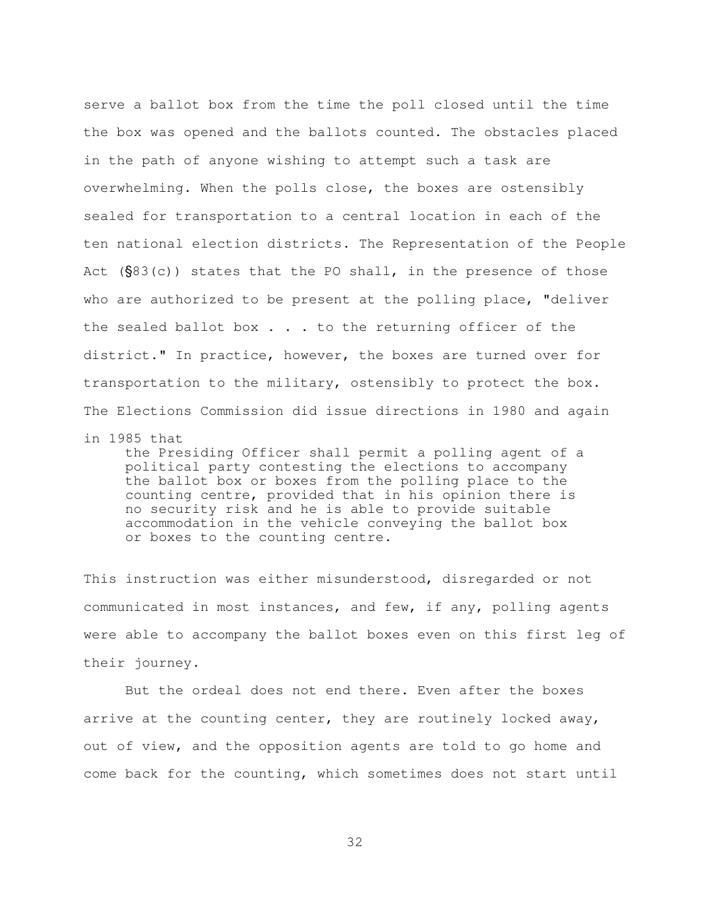serve a ballot box from the time the poll closed until the time the box was opened and the ballots counted. The obstacles placed in the path of anyone wishing to attempt such a task are overwhelming. When the polls close, the boxes are ostensibly sealed for transportation to a central location in each of the ten national election districts. The Representation of the People Act  $(S83(c))$  states that the PO shall, in the presence of those who are authorized to be present at the polling place, "deliver the sealed ballot box . . . to the returning officer of the district." In practice, however, the boxes are turned over for transportation to the military, ostensibly to protect the box. The Elections Commission did issue directions in 1980 and again

in 1985 that

 the Presiding Officer shall permit a polling agent of a political party contesting the elections to accompany the ballot box or boxes from the polling place to the counting centre, provided that in his opinion there is no security risk and he is able to provide suitable accommodation in the vehicle conveying the ballot box or boxes to the counting centre.

This instruction was either misunderstood, disregarded or not communicated in most instances, and few, if any, polling agents were able to accompany the ballot boxes even on this first leg of their journey.

 But the ordeal does not end there. Even after the boxes arrive at the counting center, they are routinely locked away, out of view, and the opposition agents are told to go home and come back for the counting, which sometimes does not start until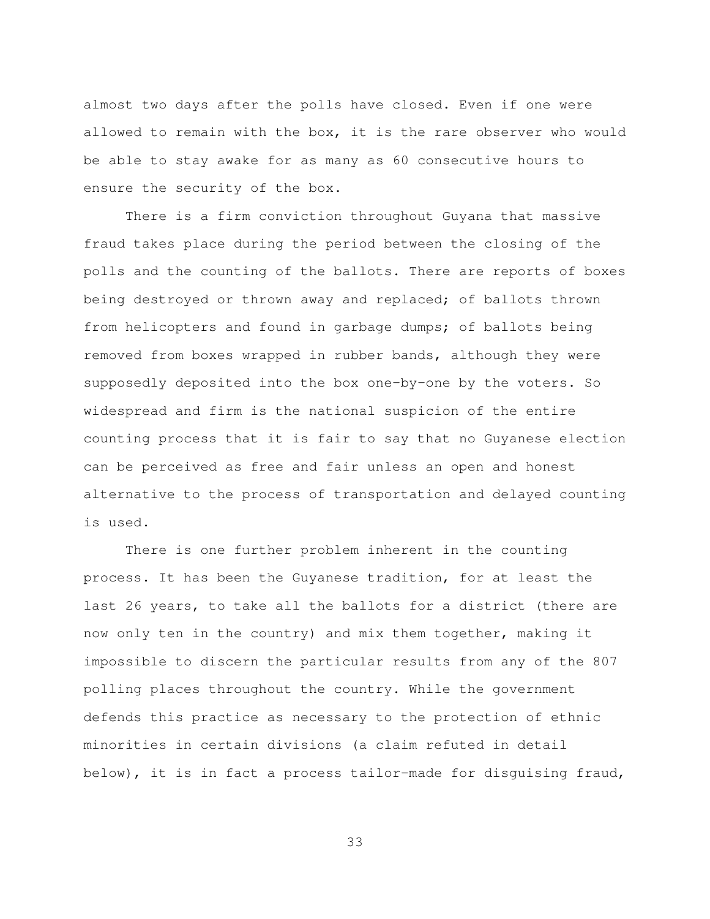almost two days after the polls have closed. Even if one were allowed to remain with the box, it is the rare observer who would be able to stay awake for as many as 60 consecutive hours to ensure the security of the box.

 There is a firm conviction throughout Guyana that massive fraud takes place during the period between the closing of the polls and the counting of the ballots. There are reports of boxes being destroyed or thrown away and replaced; of ballots thrown from helicopters and found in garbage dumps; of ballots being removed from boxes wrapped in rubber bands, although they were supposedly deposited into the box one-by-one by the voters. So widespread and firm is the national suspicion of the entire counting process that it is fair to say that no Guyanese election can be perceived as free and fair unless an open and honest alternative to the process of transportation and delayed counting is used.

 There is one further problem inherent in the counting process. It has been the Guyanese tradition, for at least the last 26 years, to take all the ballots for a district (there are now only ten in the country) and mix them together, making it impossible to discern the particular results from any of the 807 polling places throughout the country. While the government defends this practice as necessary to the protection of ethnic minorities in certain divisions (a claim refuted in detail below), it is in fact a process tailor-made for disguising fraud,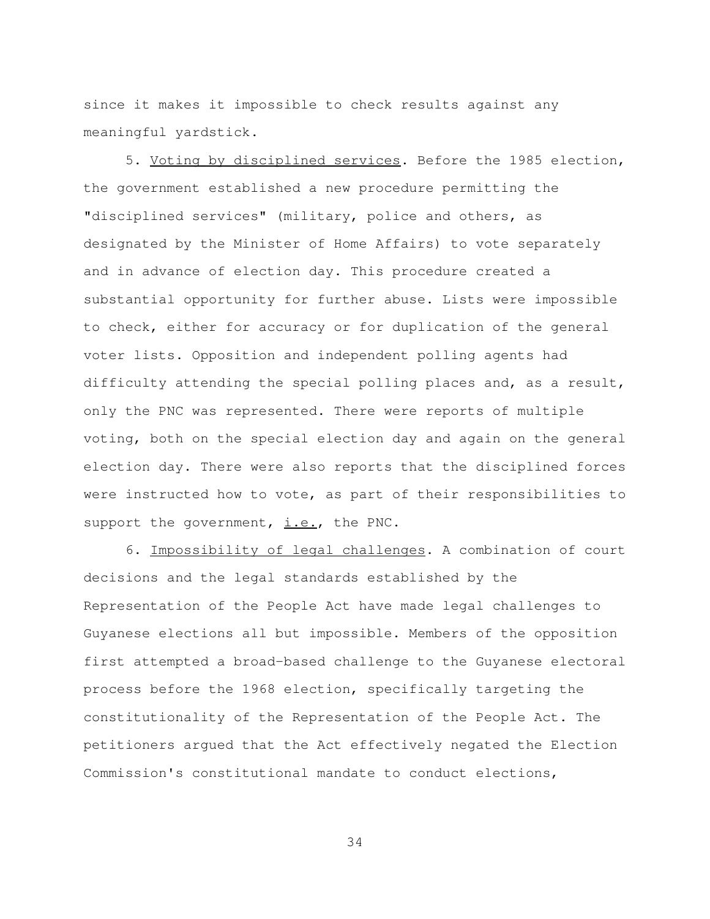since it makes it impossible to check results against any meaningful yardstick.

 5. Voting by disciplined services. Before the 1985 election, the government established a new procedure permitting the "disciplined services" (military, police and others, as designated by the Minister of Home Affairs) to vote separately and in advance of election day. This procedure created a substantial opportunity for further abuse. Lists were impossible to check, either for accuracy or for duplication of the general voter lists. Opposition and independent polling agents had difficulty attending the special polling places and, as a result, only the PNC was represented. There were reports of multiple voting, both on the special election day and again on the general election day. There were also reports that the disciplined forces were instructed how to vote, as part of their responsibilities to support the government,  $i.e.,$  the PNC.

 6. Impossibility of legal challenges. A combination of court decisions and the legal standards established by the Representation of the People Act have made legal challenges to Guyanese elections all but impossible. Members of the opposition first attempted a broad-based challenge to the Guyanese electoral process before the 1968 election, specifically targeting the constitutionality of the Representation of the People Act. The petitioners argued that the Act effectively negated the Election Commission's constitutional mandate to conduct elections,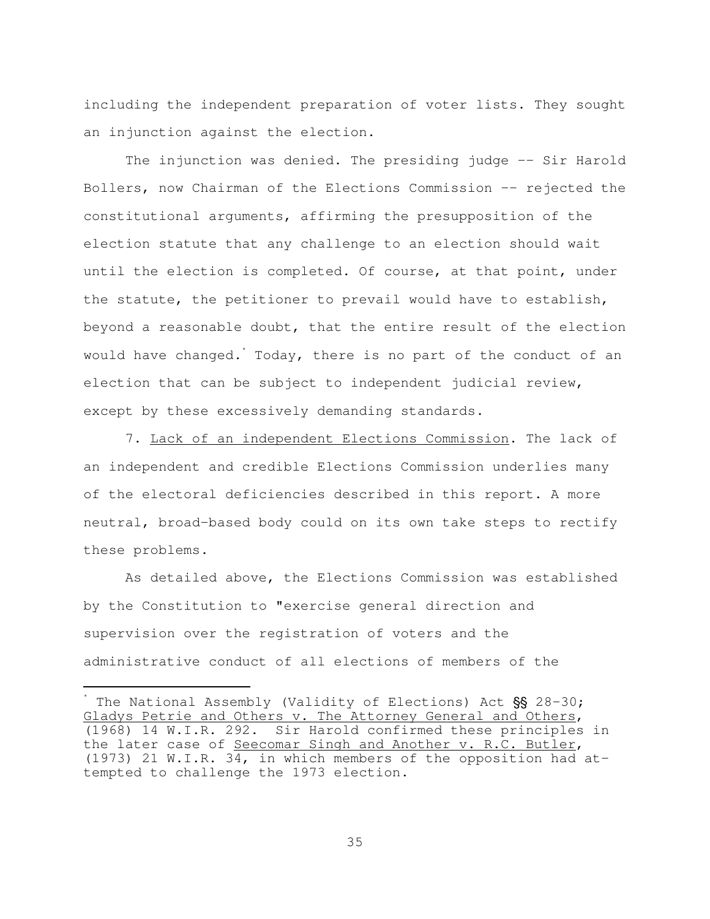including the independent preparation of voter lists. They sought an injunction against the election.

The injunction was denied. The presiding judge -- Sir Harold Bollers, now Chairman of the Elections Commission -- rejected the constitutional arguments, affirming the presupposition of the election statute that any challenge to an election should wait until the election is completed. Of course, at that point, under the statute, the petitioner to prevail would have to establish, beyond a reasonable doubt, that the entire result of the election would have changed. Today, there is no part of the conduct of an election that can be subject to independent judicial review, except by these excessively demanding standards.

 7. Lack of an independent Elections Commission. The lack of an independent and credible Elections Commission underlies many of the electoral deficiencies described in this report. A more neutral, broad-based body could on its own take steps to rectify these problems.

 As detailed above, the Elections Commission was established by the Constitution to "exercise general direction and supervision over the registration of voters and the administrative conduct of all elections of members of the

 $\overline{\phantom{0}}$ 

<sup>\*</sup> The National Assembly (Validity of Elections) Act  $\$  S 28-30; Gladys Petrie and Others v. The Attorney General and Others, (1968) 14 W.I.R. 292. Sir Harold confirmed these principles in the later case of Seecomar Singh and Another v. R.C. Butler, (1973) 21 W.I.R. 34, in which members of the opposition had attempted to challenge the 1973 election.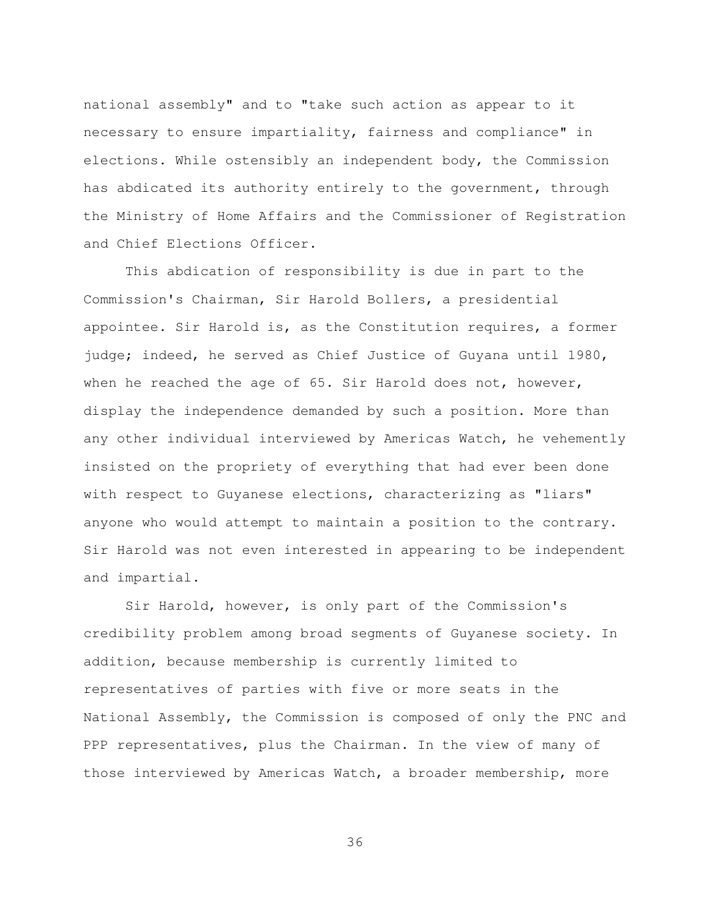national assembly" and to "take such action as appear to it necessary to ensure impartiality, fairness and compliance" in elections. While ostensibly an independent body, the Commission has abdicated its authority entirely to the government, through the Ministry of Home Affairs and the Commissioner of Registration and Chief Elections Officer.

 This abdication of responsibility is due in part to the Commission's Chairman, Sir Harold Bollers, a presidential appointee. Sir Harold is, as the Constitution requires, a former judge; indeed, he served as Chief Justice of Guyana until 1980, when he reached the age of 65. Sir Harold does not, however, display the independence demanded by such a position. More than any other individual interviewed by Americas Watch, he vehemently insisted on the propriety of everything that had ever been done with respect to Guyanese elections, characterizing as "liars" anyone who would attempt to maintain a position to the contrary. Sir Harold was not even interested in appearing to be independent and impartial.

 Sir Harold, however, is only part of the Commission's credibility problem among broad segments of Guyanese society. In addition, because membership is currently limited to representatives of parties with five or more seats in the National Assembly, the Commission is composed of only the PNC and PPP representatives, plus the Chairman. In the view of many of those interviewed by Americas Watch, a broader membership, more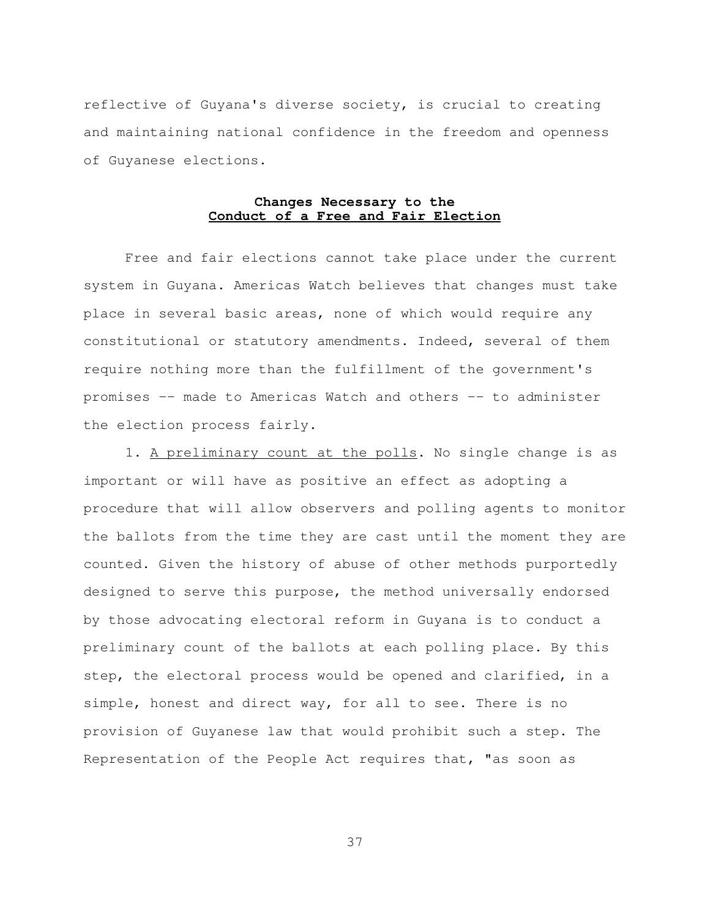reflective of Guyana's diverse society, is crucial to creating and maintaining national confidence in the freedom and openness of Guyanese elections.

# **Changes Necessary to the Conduct of a Free and Fair Election**

 Free and fair elections cannot take place under the current system in Guyana. Americas Watch believes that changes must take place in several basic areas, none of which would require any constitutional or statutory amendments. Indeed, several of them require nothing more than the fulfillment of the government's promises -- made to Americas Watch and others -- to administer the election process fairly.

 1. A preliminary count at the polls. No single change is as important or will have as positive an effect as adopting a procedure that will allow observers and polling agents to monitor the ballots from the time they are cast until the moment they are counted. Given the history of abuse of other methods purportedly designed to serve this purpose, the method universally endorsed by those advocating electoral reform in Guyana is to conduct a preliminary count of the ballots at each polling place. By this step, the electoral process would be opened and clarified, in a simple, honest and direct way, for all to see. There is no provision of Guyanese law that would prohibit such a step. The Representation of the People Act requires that, "as soon as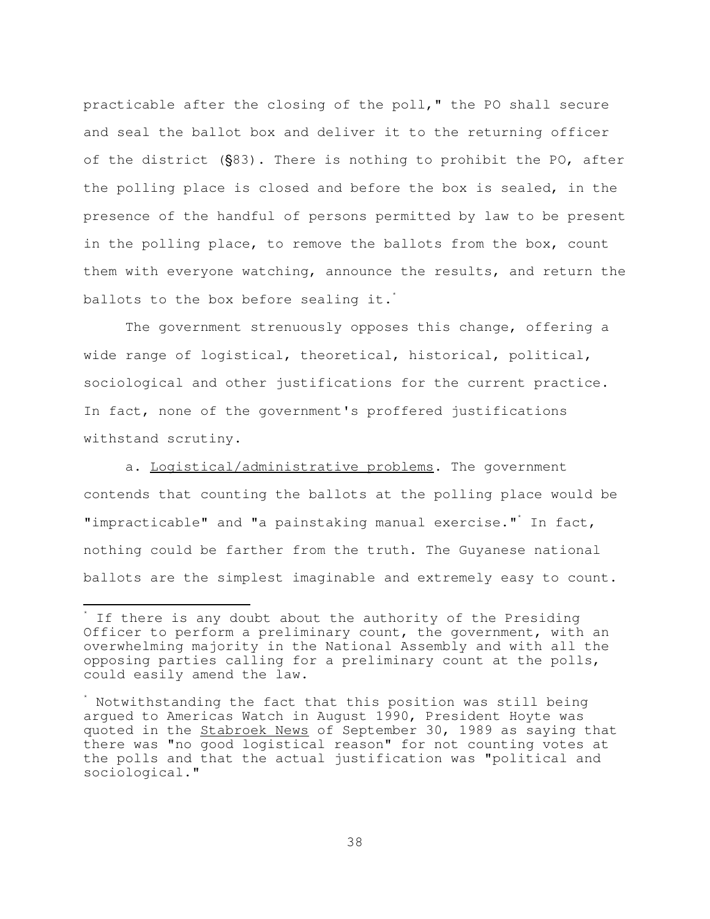practicable after the closing of the poll," the PO shall secure and seal the ballot box and deliver it to the returning officer of the district  $(S83)$ . There is nothing to prohibit the PO, after the polling place is closed and before the box is sealed, in the presence of the handful of persons permitted by law to be present in the polling place, to remove the ballots from the box, count them with everyone watching, announce the results, and return the ballots to the box before sealing it.<sup>\*</sup>

 The government strenuously opposes this change, offering a wide range of logistical, theoretical, historical, political, sociological and other justifications for the current practice. In fact, none of the government's proffered justifications withstand scrutiny.

 a. Logistical/administrative problems. The government contends that counting the ballots at the polling place would be "impracticable" and "a painstaking manual exercise."\* In fact, nothing could be farther from the truth. The Guyanese national ballots are the simplest imaginable and extremely easy to count.

È,

<sup>\*</sup> If there is any doubt about the authority of the Presiding Officer to perform a preliminary count, the government, with an overwhelming majority in the National Assembly and with all the opposing parties calling for a preliminary count at the polls, could easily amend the law.

<sup>\*</sup> Notwithstanding the fact that this position was still being argued to Americas Watch in August 1990, President Hoyte was quoted in the Stabroek News of September 30, 1989 as saying that there was "no good logistical reason" for not counting votes at the polls and that the actual justification was "political and sociological."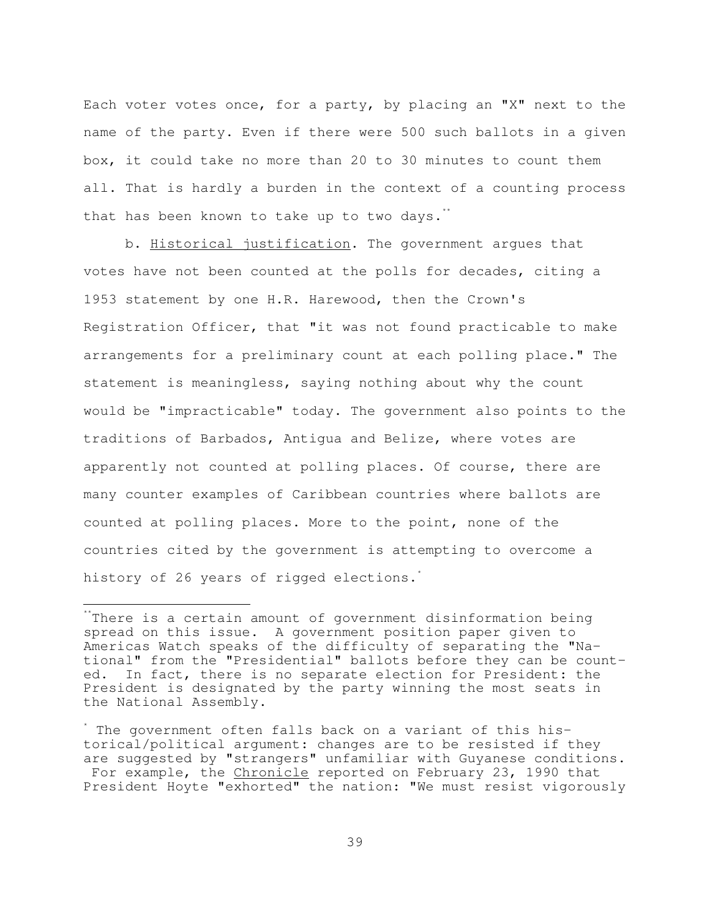Each voter votes once, for a party, by placing an "X" next to the name of the party. Even if there were 500 such ballots in a given box, it could take no more than 20 to 30 minutes to count them all. That is hardly a burden in the context of a counting process that has been known to take up to two days.<sup>\*\*</sup>

 b. Historical justification. The government argues that votes have not been counted at the polls for decades, citing a 1953 statement by one H.R. Harewood, then the Crown's Registration Officer, that "it was not found practicable to make arrangements for a preliminary count at each polling place." The statement is meaningless, saying nothing about why the count would be "impracticable" today. The government also points to the traditions of Barbados, Antigua and Belize, where votes are apparently not counted at polling places. Of course, there are many counter examples of Caribbean countries where ballots are counted at polling places. More to the point, none of the countries cited by the government is attempting to overcome a history of 26 years of rigged elections.<sup>\*</sup>

÷.

There is a certain amount of government disinformation being spread on this issue. A government position paper given to Americas Watch speaks of the difficulty of separating the "National" from the "Presidential" ballots before they can be counted. In fact, there is no separate election for President: the President is designated by the party winning the most seats in the National Assembly.

<sup>\*</sup> The government often falls back on a variant of this historical/political argument: changes are to be resisted if they are suggested by "strangers" unfamiliar with Guyanese conditions. For example, the Chronicle reported on February 23, 1990 that President Hoyte "exhorted" the nation: "We must resist vigorously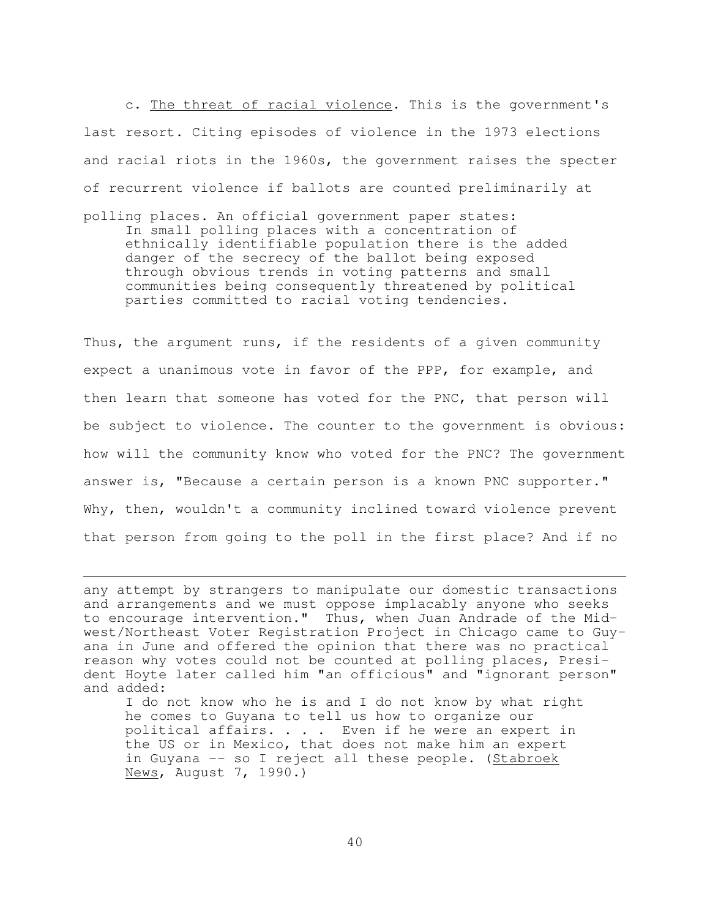c. The threat of racial violence. This is the government's last resort. Citing episodes of violence in the 1973 elections and racial riots in the 1960s, the government raises the specter of recurrent violence if ballots are counted preliminarily at

polling places. An official government paper states: In small polling places with a concentration of ethnically identifiable population there is the added danger of the secrecy of the ballot being exposed through obvious trends in voting patterns and small communities being consequently threatened by political parties committed to racial voting tendencies.

Thus, the argument runs, if the residents of a given community expect a unanimous vote in favor of the PPP, for example, and then learn that someone has voted for the PNC, that person will be subject to violence. The counter to the government is obvious: how will the community know who voted for the PNC? The government answer is, "Because a certain person is a known PNC supporter." Why, then, wouldn't a community inclined toward violence prevent that person from going to the poll in the first place? And if no

i<br>H

 I do not know who he is and I do not know by what right he comes to Guyana to tell us how to organize our political affairs. . . . Even if he were an expert in the US or in Mexico, that does not make him an expert in Guyana -- so I reject all these people. (Stabroek News, August 7, 1990.)

any attempt by strangers to manipulate our domestic transactions and arrangements and we must oppose implacably anyone who seeks to encourage intervention." Thus, when Juan Andrade of the Midwest/Northeast Voter Registration Project in Chicago came to Guyana in June and offered the opinion that there was no practical reason why votes could not be counted at polling places, President Hoyte later called him "an officious" and "ignorant person" and added: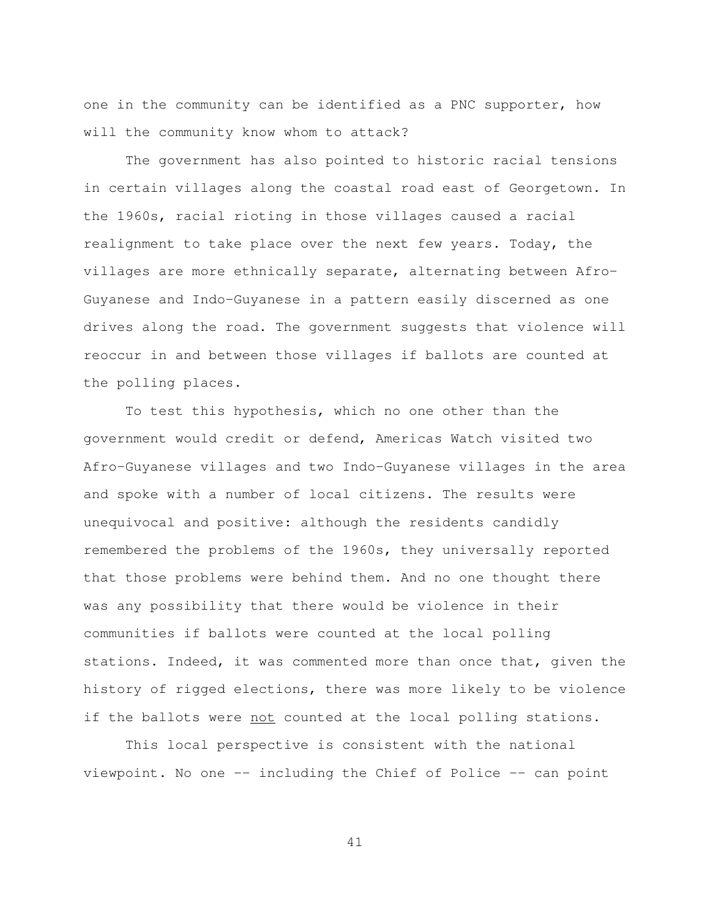one in the community can be identified as a PNC supporter, how will the community know whom to attack?

 The government has also pointed to historic racial tensions in certain villages along the coastal road east of Georgetown. In the 1960s, racial rioting in those villages caused a racial realignment to take place over the next few years. Today, the villages are more ethnically separate, alternating between Afro-Guyanese and Indo-Guyanese in a pattern easily discerned as one drives along the road. The government suggests that violence will reoccur in and between those villages if ballots are counted at the polling places.

 To test this hypothesis, which no one other than the government would credit or defend, Americas Watch visited two Afro-Guyanese villages and two Indo-Guyanese villages in the area and spoke with a number of local citizens. The results were unequivocal and positive: although the residents candidly remembered the problems of the 1960s, they universally reported that those problems were behind them. And no one thought there was any possibility that there would be violence in their communities if ballots were counted at the local polling stations. Indeed, it was commented more than once that, given the history of rigged elections, there was more likely to be violence if the ballots were not counted at the local polling stations.

 This local perspective is consistent with the national viewpoint. No one -- including the Chief of Police -- can point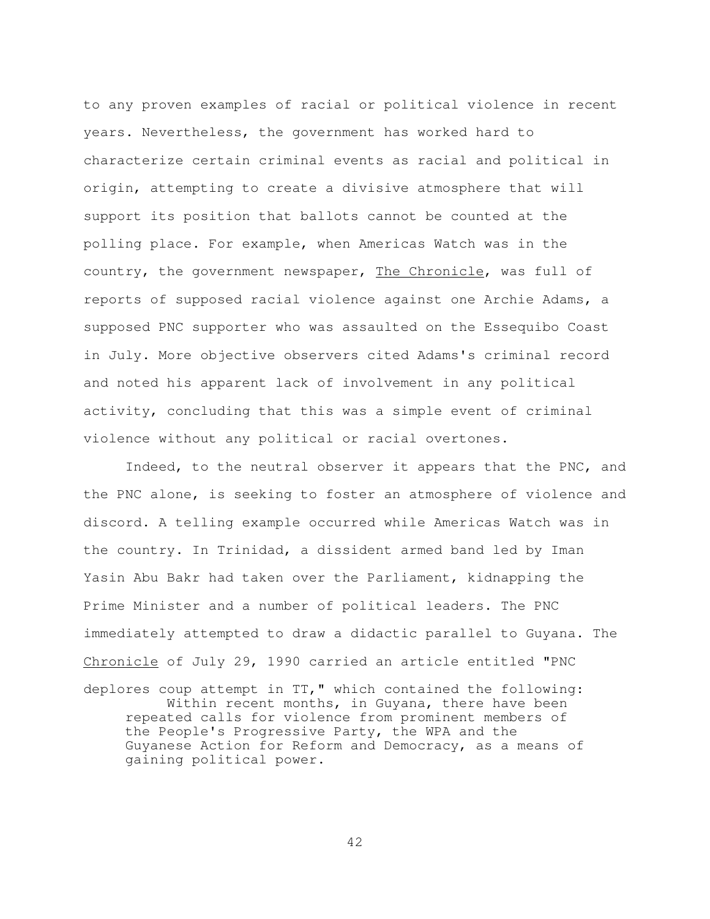to any proven examples of racial or political violence in recent years. Nevertheless, the government has worked hard to characterize certain criminal events as racial and political in origin, attempting to create a divisive atmosphere that will support its position that ballots cannot be counted at the polling place. For example, when Americas Watch was in the country, the government newspaper, The Chronicle, was full of reports of supposed racial violence against one Archie Adams, a supposed PNC supporter who was assaulted on the Essequibo Coast in July. More objective observers cited Adams's criminal record and noted his apparent lack of involvement in any political activity, concluding that this was a simple event of criminal violence without any political or racial overtones.

 Indeed, to the neutral observer it appears that the PNC, and the PNC alone, is seeking to foster an atmosphere of violence and discord. A telling example occurred while Americas Watch was in the country. In Trinidad, a dissident armed band led by Iman Yasin Abu Bakr had taken over the Parliament, kidnapping the Prime Minister and a number of political leaders. The PNC immediately attempted to draw a didactic parallel to Guyana. The Chronicle of July 29, 1990 carried an article entitled "PNC

deplores coup attempt in TT," which contained the following: Within recent months, in Guyana, there have been repeated calls for violence from prominent members of the People's Progressive Party, the WPA and the Guyanese Action for Reform and Democracy, as a means of gaining political power.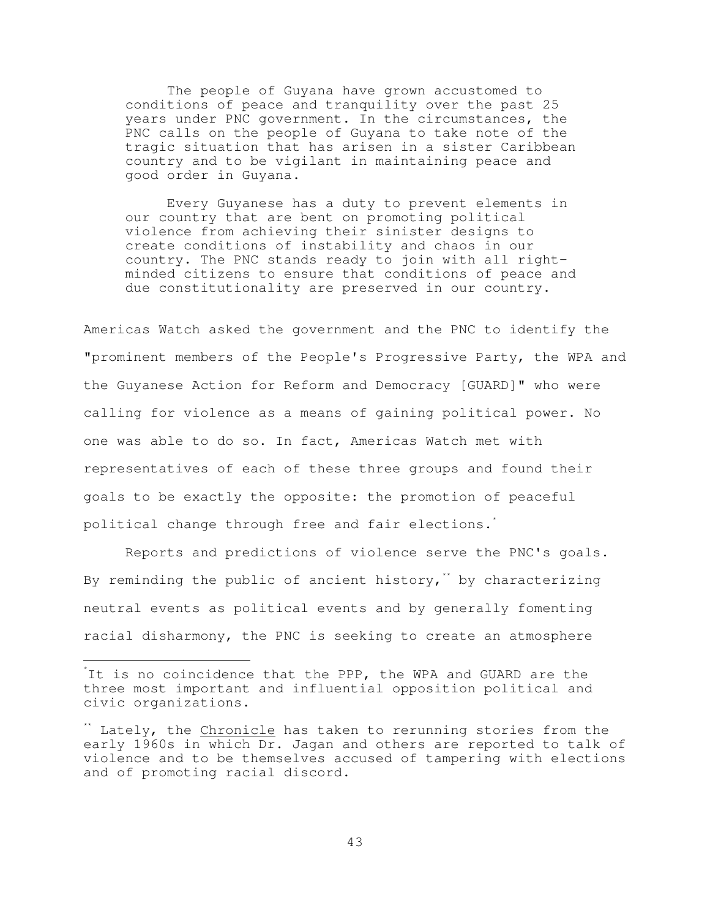The people of Guyana have grown accustomed to conditions of peace and tranquility over the past 25 years under PNC government. In the circumstances, the PNC calls on the people of Guyana to take note of the tragic situation that has arisen in a sister Caribbean country and to be vigilant in maintaining peace and good order in Guyana.

 Every Guyanese has a duty to prevent elements in our country that are bent on promoting political violence from achieving their sinister designs to create conditions of instability and chaos in our country. The PNC stands ready to join with all rightminded citizens to ensure that conditions of peace and due constitutionality are preserved in our country.

Americas Watch asked the government and the PNC to identify the "prominent members of the People's Progressive Party, the WPA and the Guyanese Action for Reform and Democracy [GUARD]" who were calling for violence as a means of gaining political power. No one was able to do so. In fact, Americas Watch met with representatives of each of these three groups and found their goals to be exactly the opposite: the promotion of peaceful political change through free and fair elections.<sup>\*</sup>

 Reports and predictions of violence serve the PNC's goals. By reminding the public of ancient history,<sup>\*\*</sup> by characterizing neutral events as political events and by generally fomenting racial disharmony, the PNC is seeking to create an atmosphere

È,

<sup>\*</sup> It is no coincidence that the PPP, the WPA and GUARD are the three most important and influential opposition political and civic organizations.

<sup>\*</sup> Lately, the Chronicle has taken to rerunning stories from the early 1960s in which Dr. Jagan and others are reported to talk of violence and to be themselves accused of tampering with elections and of promoting racial discord.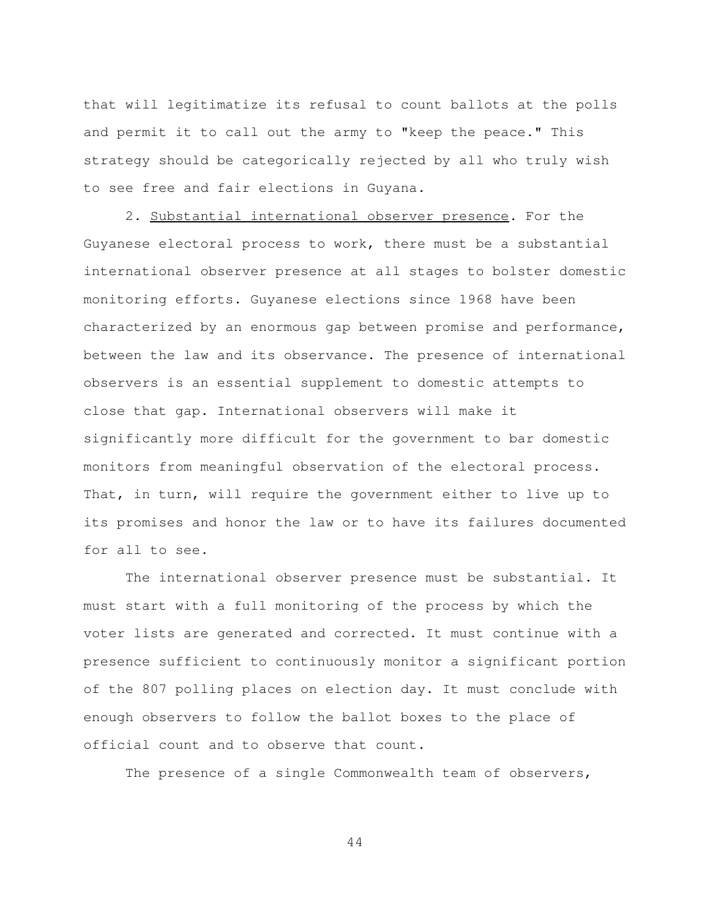that will legitimatize its refusal to count ballots at the polls and permit it to call out the army to "keep the peace." This strategy should be categorically rejected by all who truly wish to see free and fair elections in Guyana.

2. Substantial international observer presence. For the Guyanese electoral process to work, there must be a substantial international observer presence at all stages to bolster domestic monitoring efforts. Guyanese elections since 1968 have been characterized by an enormous gap between promise and performance, between the law and its observance. The presence of international observers is an essential supplement to domestic attempts to close that gap. International observers will make it significantly more difficult for the government to bar domestic monitors from meaningful observation of the electoral process. That, in turn, will require the government either to live up to its promises and honor the law or to have its failures documented for all to see.

 The international observer presence must be substantial. It must start with a full monitoring of the process by which the voter lists are generated and corrected. It must continue with a presence sufficient to continuously monitor a significant portion of the 807 polling places on election day. It must conclude with enough observers to follow the ballot boxes to the place of official count and to observe that count.

The presence of a single Commonwealth team of observers,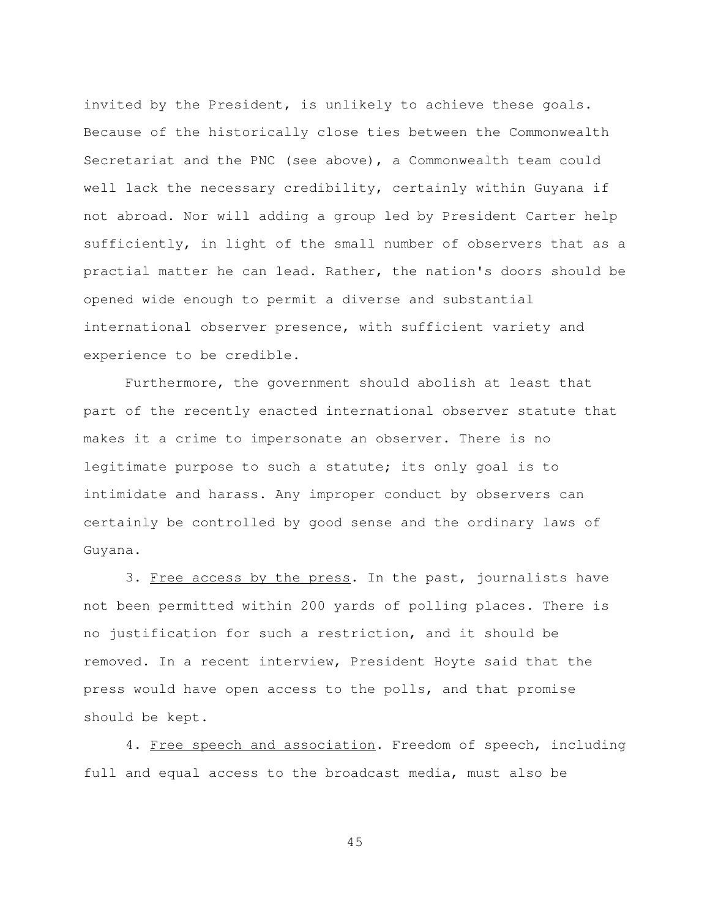invited by the President, is unlikely to achieve these goals. Because of the historically close ties between the Commonwealth Secretariat and the PNC (see above), a Commonwealth team could well lack the necessary credibility, certainly within Guyana if not abroad. Nor will adding a group led by President Carter help sufficiently, in light of the small number of observers that as a practial matter he can lead. Rather, the nation's doors should be opened wide enough to permit a diverse and substantial international observer presence, with sufficient variety and experience to be credible.

 Furthermore, the government should abolish at least that part of the recently enacted international observer statute that makes it a crime to impersonate an observer. There is no legitimate purpose to such a statute; its only goal is to intimidate and harass. Any improper conduct by observers can certainly be controlled by good sense and the ordinary laws of Guyana.

3. Free access by the press. In the past, journalists have not been permitted within 200 yards of polling places. There is no justification for such a restriction, and it should be removed. In a recent interview, President Hoyte said that the press would have open access to the polls, and that promise should be kept.

4. Free speech and association. Freedom of speech, including full and equal access to the broadcast media, must also be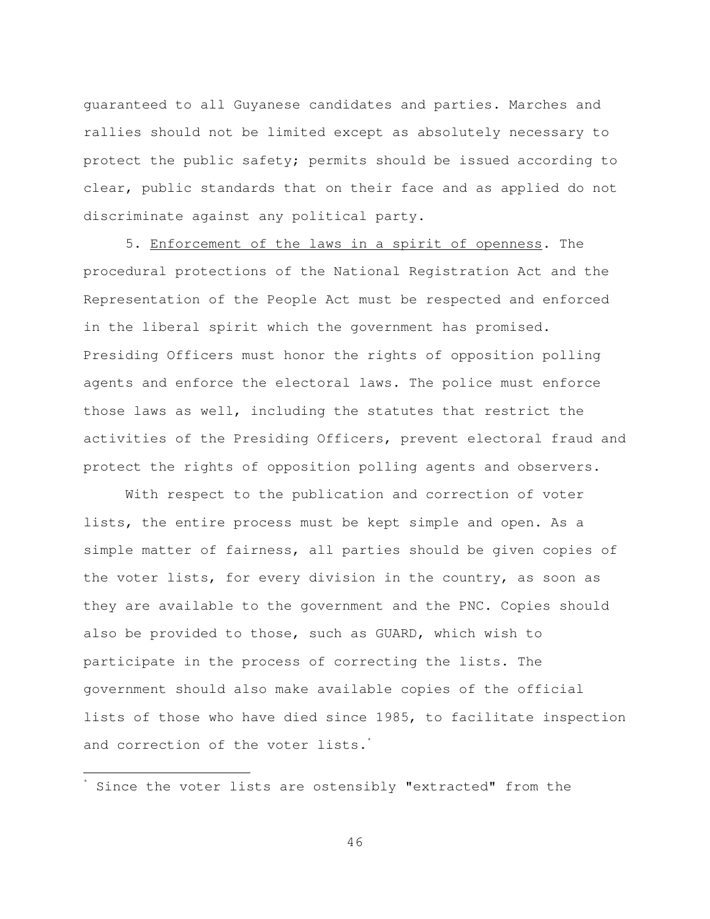guaranteed to all Guyanese candidates and parties. Marches and rallies should not be limited except as absolutely necessary to protect the public safety; permits should be issued according to clear, public standards that on their face and as applied do not discriminate against any political party.

 5. Enforcement of the laws in a spirit of openness. The procedural protections of the National Registration Act and the Representation of the People Act must be respected and enforced in the liberal spirit which the government has promised. Presiding Officers must honor the rights of opposition polling agents and enforce the electoral laws. The police must enforce those laws as well, including the statutes that restrict the activities of the Presiding Officers, prevent electoral fraud and protect the rights of opposition polling agents and observers.

 With respect to the publication and correction of voter lists, the entire process must be kept simple and open. As a simple matter of fairness, all parties should be given copies of the voter lists, for every division in the country, as soon as they are available to the government and the PNC. Copies should also be provided to those, such as GUARD, which wish to participate in the process of correcting the lists. The government should also make available copies of the official lists of those who have died since 1985, to facilitate inspection and correction of the voter lists.<sup>\*</sup>

È,

<sup>\*</sup> Since the voter lists are ostensibly "extracted" from the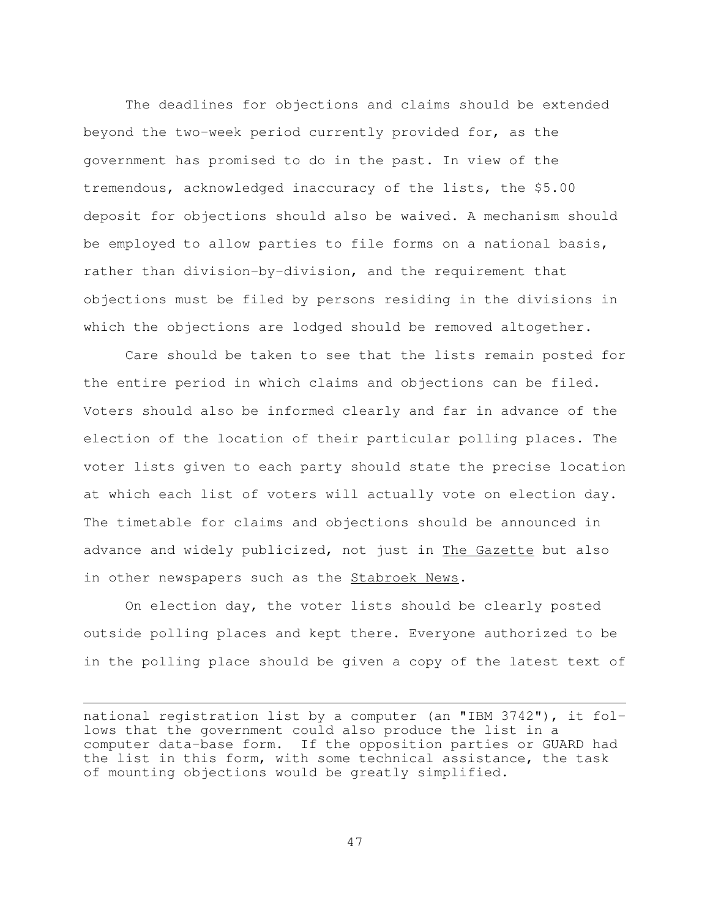The deadlines for objections and claims should be extended beyond the two-week period currently provided for, as the government has promised to do in the past. In view of the tremendous, acknowledged inaccuracy of the lists, the \$5.00 deposit for objections should also be waived. A mechanism should be employed to allow parties to file forms on a national basis, rather than division-by-division, and the requirement that objections must be filed by persons residing in the divisions in which the objections are lodged should be removed altogether.

 Care should be taken to see that the lists remain posted for the entire period in which claims and objections can be filed. Voters should also be informed clearly and far in advance of the election of the location of their particular polling places. The voter lists given to each party should state the precise location at which each list of voters will actually vote on election day. The timetable for claims and objections should be announced in advance and widely publicized, not just in The Gazette but also in other newspapers such as the **Stabroek News**.

 On election day, the voter lists should be clearly posted outside polling places and kept there. Everyone authorized to be in the polling place should be given a copy of the latest text of

i<br>H

national registration list by a computer (an "IBM 3742"), it follows that the government could also produce the list in a computer data-base form. If the opposition parties or GUARD had the list in this form, with some technical assistance, the task of mounting objections would be greatly simplified.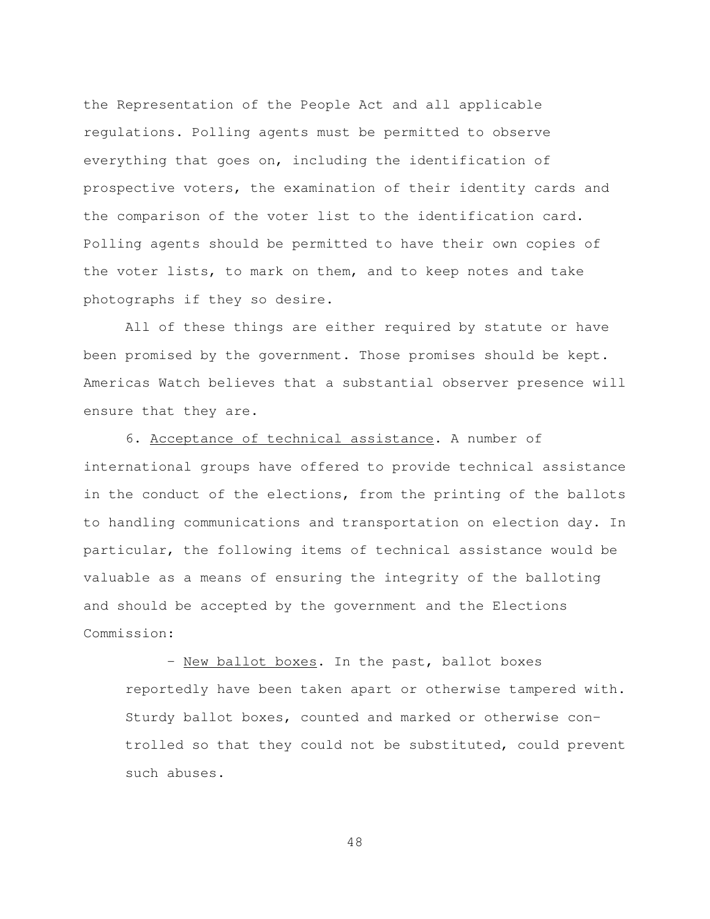the Representation of the People Act and all applicable regulations. Polling agents must be permitted to observe everything that goes on, including the identification of prospective voters, the examination of their identity cards and the comparison of the voter list to the identification card. Polling agents should be permitted to have their own copies of the voter lists, to mark on them, and to keep notes and take photographs if they so desire.

 All of these things are either required by statute or have been promised by the government. Those promises should be kept. Americas Watch believes that a substantial observer presence will ensure that they are.

 6. Acceptance of technical assistance. A number of international groups have offered to provide technical assistance in the conduct of the elections, from the printing of the ballots to handling communications and transportation on election day. In particular, the following items of technical assistance would be valuable as a means of ensuring the integrity of the balloting and should be accepted by the government and the Elections Commission:

- New ballot boxes. In the past, ballot boxes reportedly have been taken apart or otherwise tampered with. Sturdy ballot boxes, counted and marked or otherwise controlled so that they could not be substituted, could prevent such abuses.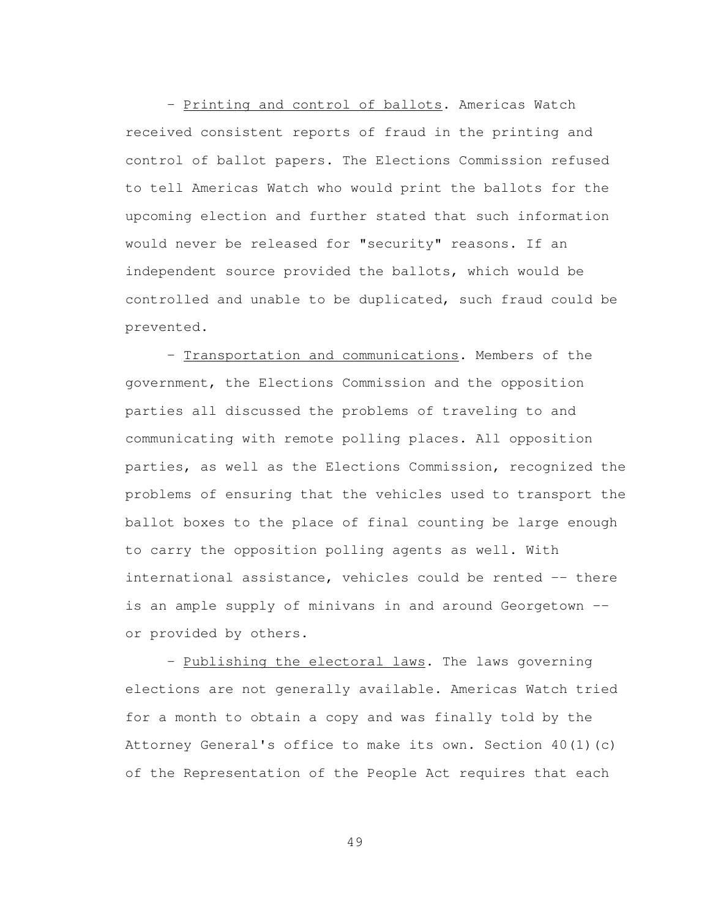- Printing and control of ballots. Americas Watch received consistent reports of fraud in the printing and control of ballot papers. The Elections Commission refused to tell Americas Watch who would print the ballots for the upcoming election and further stated that such information would never be released for "security" reasons. If an independent source provided the ballots, which would be controlled and unable to be duplicated, such fraud could be prevented.

 - Transportation and communications. Members of the government, the Elections Commission and the opposition parties all discussed the problems of traveling to and communicating with remote polling places. All opposition parties, as well as the Elections Commission, recognized the problems of ensuring that the vehicles used to transport the ballot boxes to the place of final counting be large enough to carry the opposition polling agents as well. With international assistance, vehicles could be rented -- there is an ample supply of minivans in and around Georgetown - or provided by others.

- Publishing the electoral laws. The laws governing elections are not generally available. Americas Watch tried for a month to obtain a copy and was finally told by the Attorney General's office to make its own. Section 40(1)(c) of the Representation of the People Act requires that each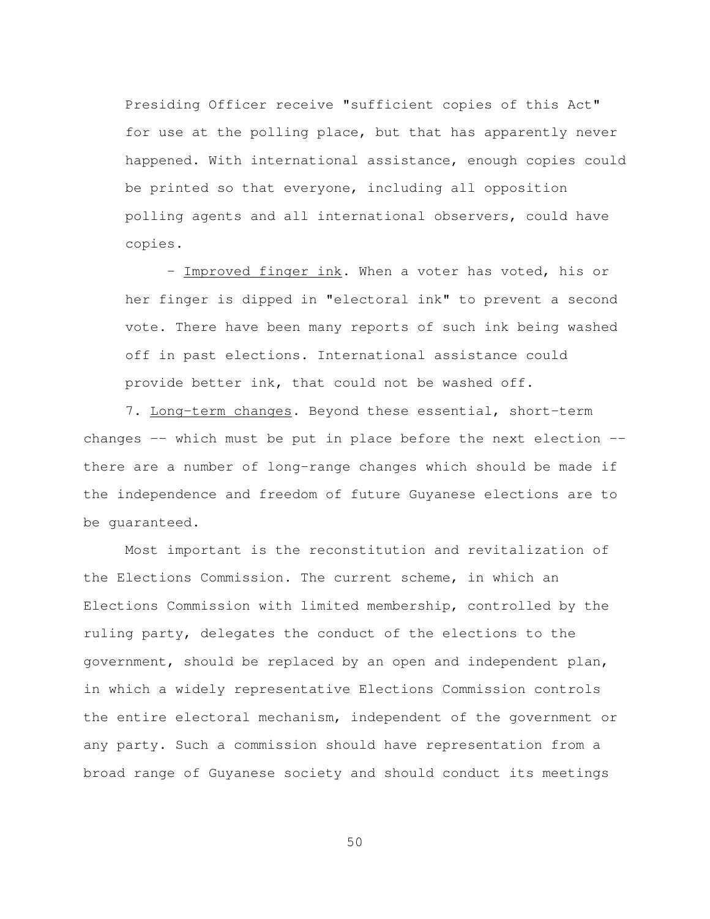Presiding Officer receive "sufficient copies of this Act" for use at the polling place, but that has apparently never happened. With international assistance, enough copies could be printed so that everyone, including all opposition polling agents and all international observers, could have copies.

 - Improved finger ink. When a voter has voted, his or her finger is dipped in "electoral ink" to prevent a second vote. There have been many reports of such ink being washed off in past elections. International assistance could provide better ink, that could not be washed off.

7. Long-term changes. Beyond these essential, short-term changes  $-$ - which must be put in place before the next election  $-$ there are a number of long-range changes which should be made if the independence and freedom of future Guyanese elections are to be guaranteed.

 Most important is the reconstitution and revitalization of the Elections Commission. The current scheme, in which an Elections Commission with limited membership, controlled by the ruling party, delegates the conduct of the elections to the government, should be replaced by an open and independent plan, in which a widely representative Elections Commission controls the entire electoral mechanism, independent of the government or any party. Such a commission should have representation from a broad range of Guyanese society and should conduct its meetings